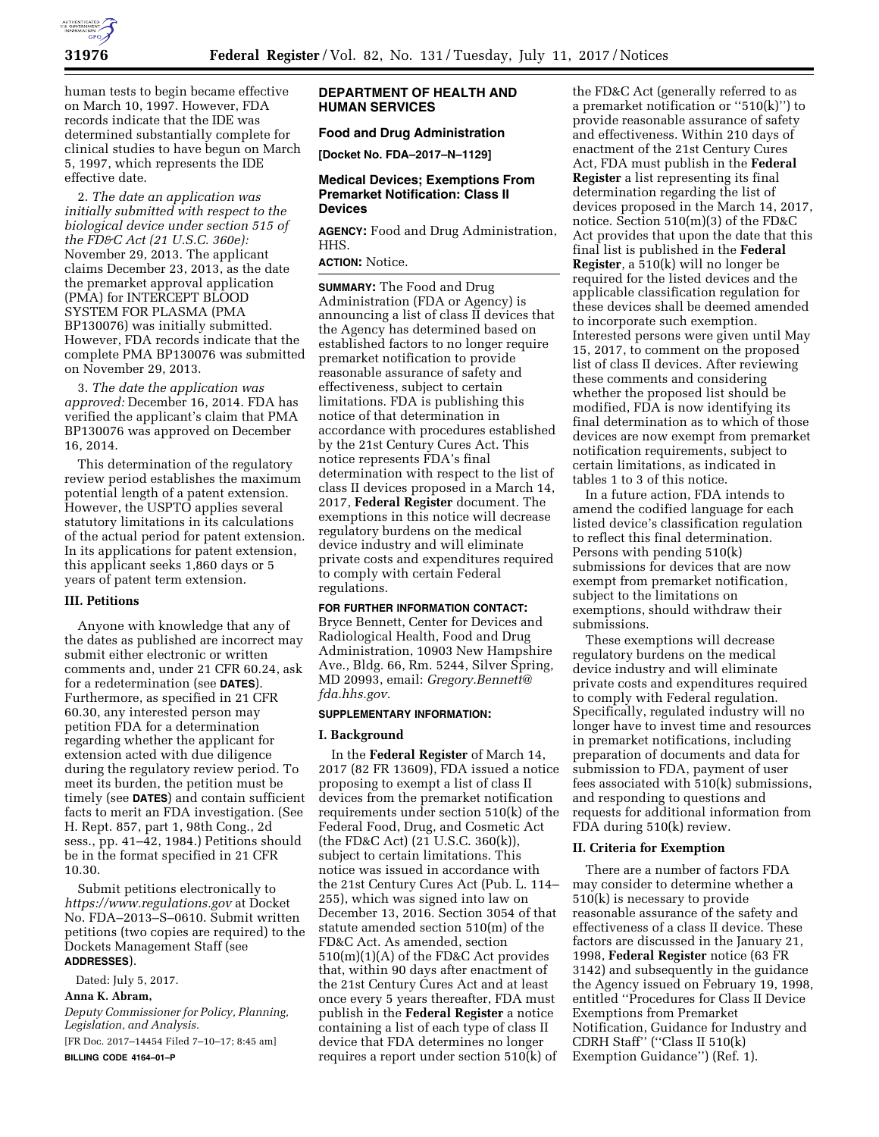

human tests to begin became effective on March 10, 1997. However, FDA records indicate that the IDE was determined substantially complete for clinical studies to have begun on March 5, 1997, which represents the IDE effective date.

2. *The date an application was initially submitted with respect to the biological device under section 515 of the FD&C Act (21 U.S.C. 360e):*  November 29, 2013. The applicant claims December 23, 2013, as the date the premarket approval application (PMA) for INTERCEPT BLOOD SYSTEM FOR PLASMA (PMA BP130076) was initially submitted. However, FDA records indicate that the complete PMA BP130076 was submitted on November 29, 2013.

3. *The date the application was approved:* December 16, 2014. FDA has verified the applicant's claim that PMA BP130076 was approved on December 16, 2014.

This determination of the regulatory review period establishes the maximum potential length of a patent extension. However, the USPTO applies several statutory limitations in its calculations of the actual period for patent extension. In its applications for patent extension, this applicant seeks 1,860 days or 5 years of patent term extension.

### **III. Petitions**

Anyone with knowledge that any of the dates as published are incorrect may submit either electronic or written comments and, under 21 CFR 60.24, ask for a redetermination (see **DATES**). Furthermore, as specified in 21 CFR 60.30, any interested person may petition FDA for a determination regarding whether the applicant for extension acted with due diligence during the regulatory review period. To meet its burden, the petition must be timely (see **DATES**) and contain sufficient facts to merit an FDA investigation. (See H. Rept. 857, part 1, 98th Cong., 2d sess., pp. 41–42, 1984.) Petitions should be in the format specified in 21 CFR 10.30.

Submit petitions electronically to *<https://www.regulations.gov>* at Docket No. FDA–2013–S–0610. Submit written petitions (two copies are required) to the Dockets Management Staff (see **ADDRESSES**).

Dated: July 5, 2017.

### **Anna K. Abram,**

*Deputy Commissioner for Policy, Planning, Legislation, and Analysis.* 

[FR Doc. 2017–14454 Filed 7–10–17; 8:45 am] **BILLING CODE 4164–01–P** 

### **DEPARTMENT OF HEALTH AND HUMAN SERVICES**

## **Food and Drug Administration**

**[Docket No. FDA–2017–N–1129]** 

### **Medical Devices; Exemptions From Premarket Notification: Class II Devices**

**AGENCY:** Food and Drug Administration, HHS.

### **ACTION:** Notice.

**SUMMARY:** The Food and Drug Administration (FDA or Agency) is announcing a list of class II devices that the Agency has determined based on established factors to no longer require premarket notification to provide reasonable assurance of safety and effectiveness, subject to certain limitations. FDA is publishing this notice of that determination in accordance with procedures established by the 21st Century Cures Act. This notice represents FDA's final determination with respect to the list of class II devices proposed in a March 14, 2017, **Federal Register** document. The exemptions in this notice will decrease regulatory burdens on the medical device industry and will eliminate private costs and expenditures required to comply with certain Federal regulations.

### **FOR FURTHER INFORMATION CONTACT:**

Bryce Bennett, Center for Devices and Radiological Health, Food and Drug Administration, 10903 New Hampshire Ave., Bldg. 66, Rm. 5244, Silver Spring, MD 20993, email: *[Gregory.Bennett@](mailto:Gregory.Bennett@fda.hhs.gov) [fda.hhs.gov.](mailto:Gregory.Bennett@fda.hhs.gov)* 

### **SUPPLEMENTARY INFORMATION:**

#### **I. Background**

In the **Federal Register** of March 14, 2017 (82 FR 13609), FDA issued a notice proposing to exempt a list of class II devices from the premarket notification requirements under section 510(k) of the Federal Food, Drug, and Cosmetic Act (the FD&C Act) (21 U.S.C. 360(k)), subject to certain limitations. This notice was issued in accordance with the 21st Century Cures Act (Pub. L. 114– 255), which was signed into law on December 13, 2016. Section 3054 of that statute amended section 510(m) of the FD&C Act. As amended, section 510(m)(1)(A) of the FD&C Act provides that, within 90 days after enactment of the 21st Century Cures Act and at least once every 5 years thereafter, FDA must publish in the **Federal Register** a notice containing a list of each type of class II device that FDA determines no longer requires a report under section 510(k) of

the FD&C Act (generally referred to as a premarket notification or ''510(k)'') to provide reasonable assurance of safety and effectiveness. Within 210 days of enactment of the 21st Century Cures Act, FDA must publish in the **Federal Register** a list representing its final determination regarding the list of devices proposed in the March 14, 2017, notice. Section 510(m)(3) of the FD&C Act provides that upon the date that this final list is published in the **Federal Register**, a 510(k) will no longer be required for the listed devices and the applicable classification regulation for these devices shall be deemed amended to incorporate such exemption. Interested persons were given until May 15, 2017, to comment on the proposed list of class II devices. After reviewing these comments and considering whether the proposed list should be modified, FDA is now identifying its final determination as to which of those devices are now exempt from premarket notification requirements, subject to certain limitations, as indicated in tables 1 to 3 of this notice.

In a future action, FDA intends to amend the codified language for each listed device's classification regulation to reflect this final determination. Persons with pending 510(k) submissions for devices that are now exempt from premarket notification, subject to the limitations on exemptions, should withdraw their submissions.

These exemptions will decrease regulatory burdens on the medical device industry and will eliminate private costs and expenditures required to comply with Federal regulation. Specifically, regulated industry will no longer have to invest time and resources in premarket notifications, including preparation of documents and data for submission to FDA, payment of user fees associated with 510(k) submissions, and responding to questions and requests for additional information from FDA during 510(k) review.

### **II. Criteria for Exemption**

There are a number of factors FDA may consider to determine whether a 510(k) is necessary to provide reasonable assurance of the safety and effectiveness of a class II device. These factors are discussed in the January 21, 1998, **Federal Register** notice (63 FR 3142) and subsequently in the guidance the Agency issued on February 19, 1998, entitled ''Procedures for Class II Device Exemptions from Premarket Notification, Guidance for Industry and CDRH Staff'' (''Class II 510(k) Exemption Guidance'') (Ref. 1).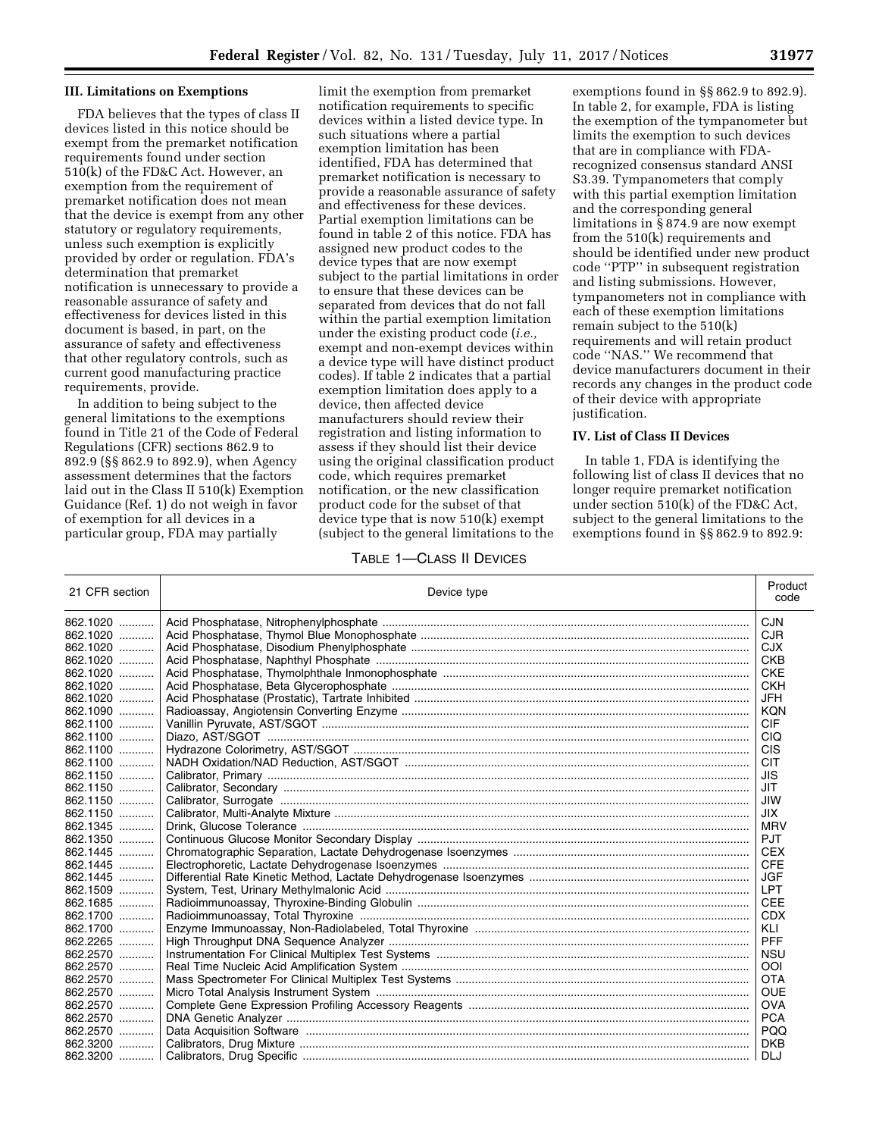#### **III. Limitations on Exemptions**

FDA believes that the types of class II devices listed in this notice should be exempt from the premarket notification requirements found under section 510(k) of the FD&C Act. However, an exemption from the requirement of premarket notification does not mean that the device is exempt from any other statutory or regulatory requirements, unless such exemption is explicitly provided by order or regulation. FDA's determination that premarket notification is unnecessary to provide a reasonable assurance of safety and effectiveness for devices listed in this document is based, in part, on the assurance of safety and effectiveness that other regulatory controls, such as current good manufacturing practice requirements, provide.

In addition to being subject to the general limitations to the exemptions found in Title 21 of the Code of Federal Regulations (CFR) sections 862.9 to 892.9 (§§ 862.9 to 892.9), when Agency assessment determines that the factors laid out in the Class II 510(k) Exemption Guidance (Ref. 1) do not weigh in favor of exemption for all devices in a particular group, FDA may partially

limit the exemption from premarket notification requirements to specific devices within a listed device type. In such situations where a partial exemption limitation has been identified, FDA has determined that premarket notification is necessary to provide a reasonable assurance of safety and effectiveness for these devices. Partial exemption limitations can be found in table 2 of this notice. FDA has assigned new product codes to the device types that are now exempt subject to the partial limitations in order to ensure that these devices can be separated from devices that do not fall within the partial exemption limitation under the existing product code (*i.e.,*  exempt and non-exempt devices within a device type will have distinct product codes). If table 2 indicates that a partial exemption limitation does apply to a device, then affected device manufacturers should review their registration and listing information to assess if they should list their device using the original classification product code, which requires premarket notification, or the new classification product code for the subset of that device type that is now 510(k) exempt (subject to the general limitations to the

exemptions found in §§ 862.9 to 892.9). In table 2, for example, FDA is listing the exemption of the tympanometer but limits the exemption to such devices that are in compliance with FDArecognized consensus standard ANSI S3.39. Tympanometers that comply with this partial exemption limitation and the corresponding general limitations in § 874.9 are now exempt from the 510(k) requirements and should be identified under new product code ''PTP'' in subsequent registration and listing submissions. However, tympanometers not in compliance with each of these exemption limitations remain subject to the 510(k) requirements and will retain product code ''NAS.'' We recommend that device manufacturers document in their records any changes in the product code of their device with appropriate justification.

### **IV. List of Class II Devices**

In table 1, FDA is identifying the following list of class II devices that no longer require premarket notification under section 510(k) of the FD&C Act, subject to the general limitations to the exemptions found in §§ 862.9 to 892.9:

### TABLE 1—CLASS II DEVICES

| 21 CFR section | Device type | Product<br>code |
|----------------|-------------|-----------------|
|                |             | <b>CJN</b>      |
| 862.1020       |             | <b>CJR</b>      |
|                |             | <b>CJX</b>      |
| 862.1020       |             | <b>CKB</b>      |
| 862.1020       |             | <b>CKE</b>      |
| 862.1020       |             | <b>CKH</b>      |
| 862.1020       |             | <b>JFH</b>      |
| 862.1090       |             | KQN             |
| 862.1100       |             | <b>CIF</b>      |
| 862.1100       |             | CIQ             |
|                |             | <b>CIS</b>      |
|                |             | <b>CIT</b>      |
| 862.1150       |             | <b>JIS</b>      |
| 862.1150       |             | JIT             |
|                |             | JIW             |
| 862.1150       |             | <b>JIX</b>      |
| 862.1345       |             | <b>MRV</b>      |
|                |             | <b>PJT</b>      |
|                |             | <b>CEX</b>      |
|                |             | <b>CFE</b>      |
| $862.1445$     |             | <b>JGF</b>      |
| 862.1509       |             | <b>LPT</b>      |
|                |             | <b>CEE</b>      |
| 862.1700       |             | <b>CDX</b>      |
|                |             | KLI             |
|                |             | <b>PFF</b>      |
| 862.2570       |             | <b>NSU</b>      |
| 862.2570       |             | OOI             |
| 862.2570       |             | <b>OTA</b>      |
| 862.2570       |             | <b>OUE</b>      |
| 862.2570       |             | <b>OVA</b>      |
| 862.2570       |             | <b>PCA</b>      |
|                |             | <b>PQQ</b>      |
|                |             | <b>DKB</b>      |
|                |             | DLJ             |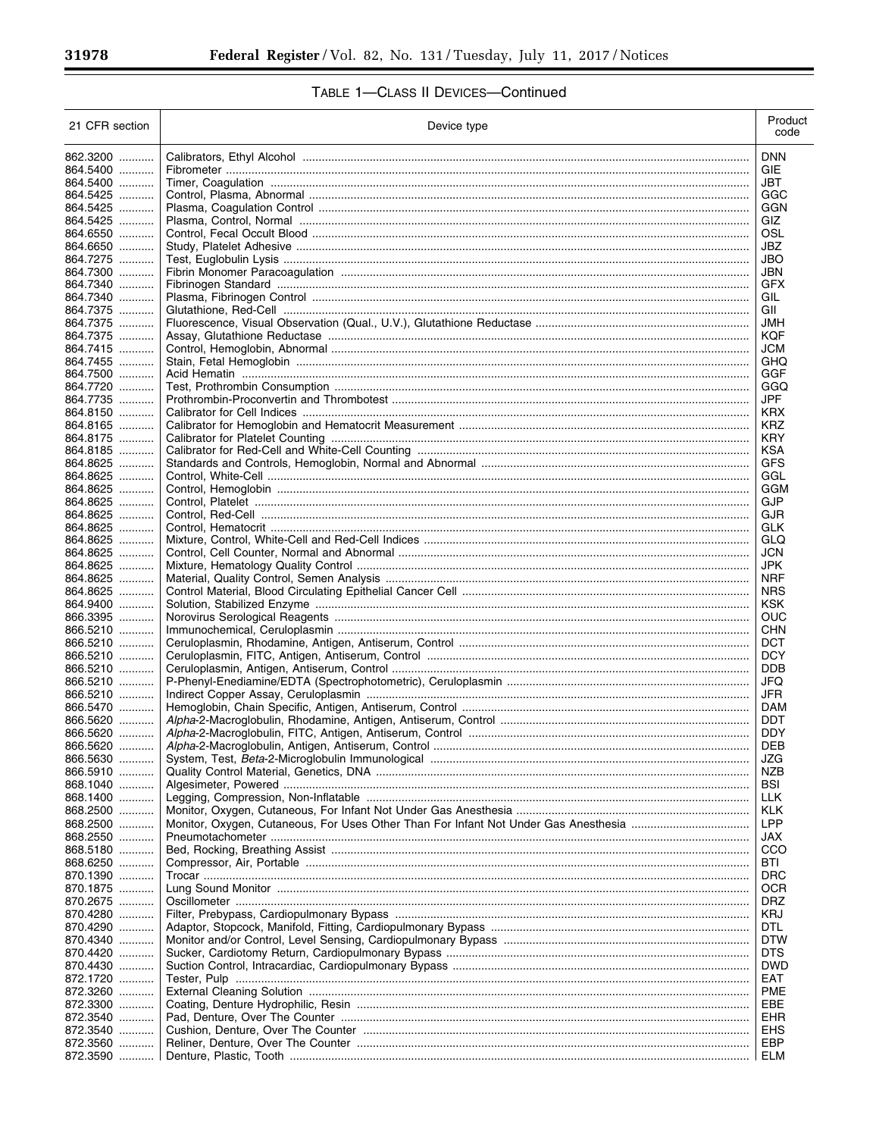| 21 CFR section       | Device type                                                                         | Product<br>code   |
|----------------------|-------------------------------------------------------------------------------------|-------------------|
| 862.3200             |                                                                                     | <b>DNN</b>        |
| 864.5400             |                                                                                     | GIE               |
| 864.5400             |                                                                                     | JBT               |
| 864.5425<br>864.5425 |                                                                                     | GGC<br>GGN        |
| 864.5425             |                                                                                     | GIZ.              |
| 864.6550             |                                                                                     | OSL               |
| 864.6650             |                                                                                     | JBZ               |
| 864.7275             |                                                                                     | JBO               |
| 864.7300             |                                                                                     | JBN               |
| 864.7340<br>864.7340 |                                                                                     | GFX<br>GIL        |
| 864.7375             |                                                                                     | GII               |
| 864.7375             |                                                                                     | JMH               |
| 864.7375             |                                                                                     | KQF               |
| 864.7415             |                                                                                     | JCM               |
| 864.7455<br>864.7500 |                                                                                     | GHQ<br>GGF        |
| 864.7720             |                                                                                     | GGQ               |
| 864.7735             |                                                                                     | <b>JPF</b>        |
| 864.8150             |                                                                                     | <b>KRX</b>        |
| 864.8165             |                                                                                     | KRZ               |
| 864.8175             |                                                                                     | KRY               |
| 864.8185<br>864.8625 |                                                                                     | KSA<br>GFS        |
| 864.8625             |                                                                                     | GGL               |
| 864.8625             |                                                                                     | GGM               |
| 864.8625             |                                                                                     | <b>GJP</b>        |
| 864.8625             |                                                                                     | GJR               |
| 864.8625<br>864.8625 |                                                                                     | GLK<br>GLQ        |
| 864.8625             |                                                                                     | JCN               |
| 864.8625             |                                                                                     | JPK               |
| 864.8625             |                                                                                     | <b>NRF</b>        |
| 864.8625             |                                                                                     | <b>NRS</b>        |
| 864.9400             |                                                                                     | KSK               |
| 866.3395<br>866.5210 |                                                                                     | OUC<br>CHN        |
| 866.5210             |                                                                                     | DCT               |
| 866.5210             |                                                                                     | <b>DCY</b>        |
| 866.5210             |                                                                                     | <b>DDB</b>        |
| 866.5210             |                                                                                     | JFQ               |
| 866.5210<br>866.5470 |                                                                                     | <b>JFR</b><br>DAM |
| 866.5620             |                                                                                     | <b>DDT</b>        |
| 866.5620             |                                                                                     | <b>DDY</b>        |
| 866.5620             | Alpha-2-Macroglobulin, Antigen, Antiserum, Control                                  | <b>DEB</b>        |
| 866.5630             |                                                                                     | JZG               |
| 866.5910             |                                                                                     | NZB               |
| 868.1040<br>868.1400 |                                                                                     | BSI<br>LLK        |
| 868.2500             |                                                                                     | KLK               |
| 868.2500             | Monitor, Oxygen, Cutaneous, For Uses Other Than For Infant Not Under Gas Anesthesia | LPP               |
| 868.2550             |                                                                                     | JAX               |
| 868.5180             |                                                                                     | CCO               |
| 868.6250<br>870.1390 |                                                                                     | BTI<br>DRC        |
| 870.1875             |                                                                                     | OCR               |
| 870.2675             |                                                                                     | DRZ               |
| 870.4280             |                                                                                     | KRJ               |
| 870.4290             |                                                                                     | DTL               |
| 870.4340             |                                                                                     | DTW               |
| 870.4420<br>870.4430 |                                                                                     | DTS<br>DWD        |
| 872.1720             |                                                                                     | EAT               |
| 872.3260             |                                                                                     | PME               |
| 872.3300             |                                                                                     | EBE               |
| 872.3540             |                                                                                     | EHR               |
| 872.3540             |                                                                                     | <b>EHS</b>        |
| 872.3560<br>872.3590 |                                                                                     | EBP<br>ELM        |
|                      |                                                                                     |                   |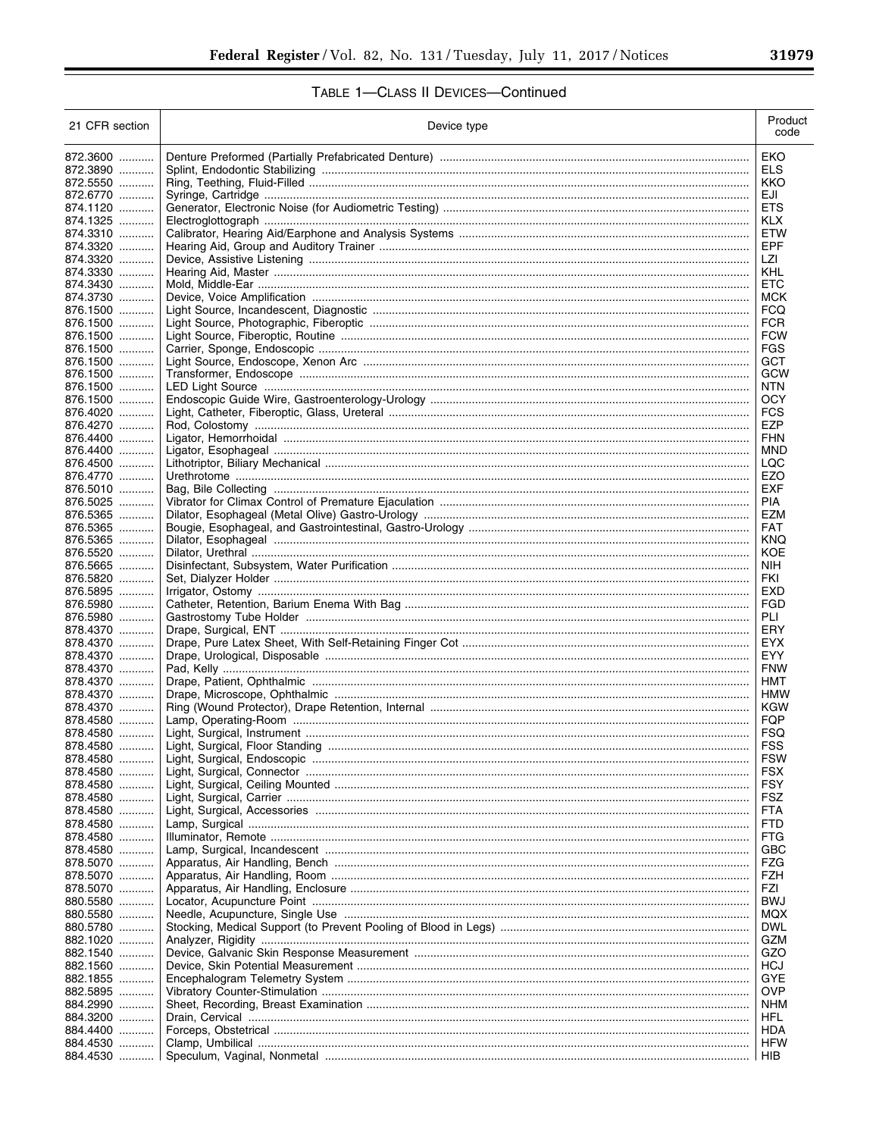| 21 CFR section       | Device type |                          |  |  |  |
|----------------------|-------------|--------------------------|--|--|--|
| 872.3600             |             | EKO                      |  |  |  |
| 872.3890             |             | ELS                      |  |  |  |
| 872.5550             |             | KKO                      |  |  |  |
| 872.6770             |             | EJI                      |  |  |  |
| 874.1120<br>874.1325 |             | <b>ETS</b><br><b>KLX</b> |  |  |  |
| 874.3310             |             | <b>ETW</b>               |  |  |  |
| 874.3320             |             | EPF                      |  |  |  |
| 874.3320             |             | LZI                      |  |  |  |
| 874.3330             |             | KHL                      |  |  |  |
| 874.3430<br>874.3730 |             | <b>ETC</b><br>MCK        |  |  |  |
| 876.1500             |             | <b>FCQ</b>               |  |  |  |
| 876.1500             |             | <b>FCR</b>               |  |  |  |
| 876.1500             |             | <b>FCW</b>               |  |  |  |
| 876.1500             |             | <b>FGS</b>               |  |  |  |
| 876.1500<br>876.1500 |             | GCT<br>GCW               |  |  |  |
| 876.1500             |             | NTN                      |  |  |  |
| 876.1500             |             | <b>OCY</b>               |  |  |  |
| 876.4020             |             | <b>FCS</b>               |  |  |  |
| 876.4270             |             | EZP                      |  |  |  |
| 876.4400<br>876.4400 |             | <b>FHN</b><br><b>MND</b> |  |  |  |
| 876.4500             |             | LQC                      |  |  |  |
| 876.4770             |             | EZO                      |  |  |  |
| 876.5010             |             | EXF                      |  |  |  |
| 876.5025             |             | <b>PIA</b>               |  |  |  |
| 876.5365<br>876.5365 |             | EZM<br><b>FAT</b>        |  |  |  |
| 876.5365             |             | <b>KNQ</b>               |  |  |  |
| 876.5520             |             | KOE                      |  |  |  |
| 876.5665             |             | <b>NIH</b>               |  |  |  |
| 876.5820             |             | FKI                      |  |  |  |
| 876.5895<br>876.5980 |             | EXD<br>FGD               |  |  |  |
| 876.5980             |             | <b>PLI</b>               |  |  |  |
| 878.4370             |             | ERY                      |  |  |  |
| 878.4370             |             | <b>EYX</b>               |  |  |  |
| 878.4370<br>878.4370 |             | <b>EYY</b><br><b>FNW</b> |  |  |  |
| 878.4370             |             | HMT                      |  |  |  |
| 878.4370             |             | <b>HMW</b>               |  |  |  |
| 878.4370             |             | <b>KGW</b>               |  |  |  |
| 878.4580             |             | FQP                      |  |  |  |
| 878.4580<br>878.4580 |             | FSQ                      |  |  |  |
| 878.4580             |             | <b>FSS</b><br><b>FSW</b> |  |  |  |
| 878.4580             |             | <b>FSX</b>               |  |  |  |
| 878.4580             |             | FSY                      |  |  |  |
| 878.4580             |             | FSZ                      |  |  |  |
| 878.4580<br>878.4580 |             | <b>FTA</b><br><b>FTD</b> |  |  |  |
| 878.4580             |             | FTG                      |  |  |  |
| 878.4580             |             | GBC                      |  |  |  |
| 878.5070             |             | FZG                      |  |  |  |
| 878.5070             |             | FZH                      |  |  |  |
| 878.5070             |             | FZI                      |  |  |  |
| 880.5580<br>880.5580 |             | <b>BWJ</b><br>MQX        |  |  |  |
| 880.5780             |             | <b>DWL</b>               |  |  |  |
| 882.1020             |             | GZM                      |  |  |  |
| 882.1540             |             | GZO                      |  |  |  |
| 882.1560             |             | HCJ                      |  |  |  |
| 882.1855<br>882.5895 |             | GYE<br><b>OVP</b>        |  |  |  |
| 884.2990             |             | <b>NHM</b>               |  |  |  |
| 884.3200             |             | HFL                      |  |  |  |
| 884.4400             |             | HDA                      |  |  |  |
| 884.4530             |             | <b>HFW</b>               |  |  |  |
| 884.4530             |             | HIB                      |  |  |  |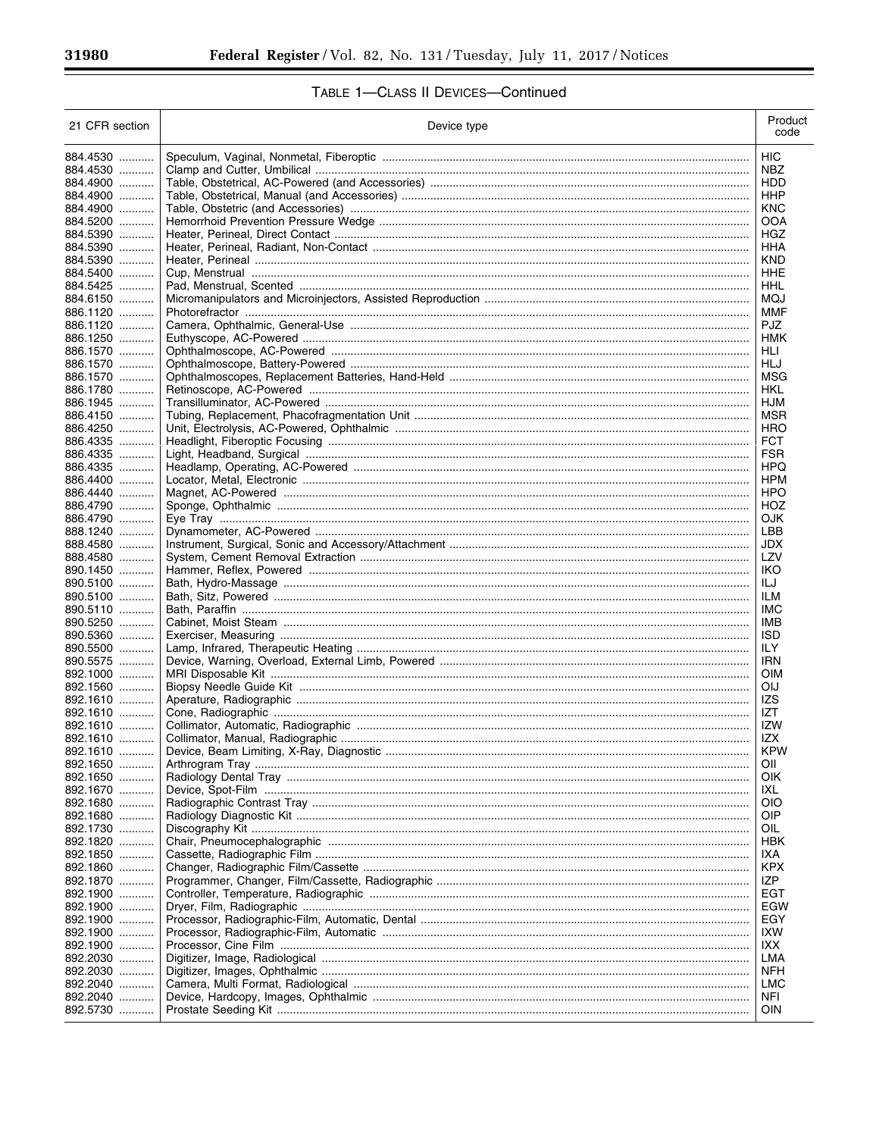| 21 CFR section       | Device type | Product<br>code   |
|----------------------|-------------|-------------------|
| 884.4530             |             | <b>HIC</b>        |
| 884.4530             |             | NBZ               |
| 884.4900             |             | HDD               |
| 884.4900             |             | HHP               |
| 884.4900             |             | <b>KNC</b>        |
| 884.5200<br>884.5390 |             | <b>OOA</b><br>HGZ |
| 884.5390             |             | HHA               |
| 884.5390             |             | <b>KND</b>        |
| 884.5400             |             | HHE               |
| 884.5425             |             | HHL               |
| 884.6150             |             | MQJ               |
| 886.1120             |             | MMF               |
| 886.1120             |             | <b>PJZ</b>        |
| 886.1250             |             | HMK               |
| 886.1570<br>886.1570 |             | HLI<br>HLJ        |
| 886.1570             |             | MSG               |
| 886.1780             |             | HKL               |
| 886.1945             |             | HJM               |
| 886.4150             |             | MSR               |
| 886.4250             |             | HRO               |
| 886.4335             |             | <b>FCT</b>        |
| 886.4335             |             | <b>FSR</b>        |
| 886.4335             |             | HPQ               |
| 886.4400<br>886.4440 |             | <b>HPM</b><br>HPO |
| 886.4790             |             | HOZ               |
| 886.4790             |             | <b>OJK</b>        |
| 888.1240             |             | LBB               |
| 888.4580             |             | <b>JDX</b>        |
| 888.4580             |             | LZV               |
| 890.1450             |             | IKO               |
| 890.5100             |             | ILJ               |
| 890.5100<br>890.5110 |             | ILM<br>IMC        |
| 890.5250             |             | IMB               |
| 890.5360             |             | <b>ISD</b>        |
| 890.5500             |             | ILY               |
| 890.5575             |             | <b>IRN</b>        |
| 892.1000             |             | OIM               |
| 892.1560             |             | <b>OIJ</b>        |
| 892.1610             |             | IZS               |
| 892.1610<br>892.1610 |             | IZT<br>IZW        |
| 892.1610             |             | IZX               |
| 892.1610             |             | <b>KPW</b>        |
| 892.1650             |             | OIL               |
| 892.1650             |             | OIK               |
| 892.1670             |             | IXL               |
| 892.1680             |             | OIO               |
| 1680                 |             | OIP               |
| 892.1730             |             | OIL               |
| 892.1820<br>892.1850 |             | <b>HBK</b><br>IXA |
| 892.1860             |             | <b>KPX</b>        |
| 892.1870             |             | IZP               |
| 892.1900             |             | EGT               |
| 892.1900             |             | EGW               |
| 1900                 |             | EGY               |
| 892.1900             |             | IXW               |
| 1900                 |             | IXX               |
| 892.2030             |             | LMA<br><b>NFH</b> |
| 892.2030<br>892.2040 |             | LMC               |
| 892.2040             |             | <b>NFI</b>        |
| 892.5730             |             | <b>OIN</b>        |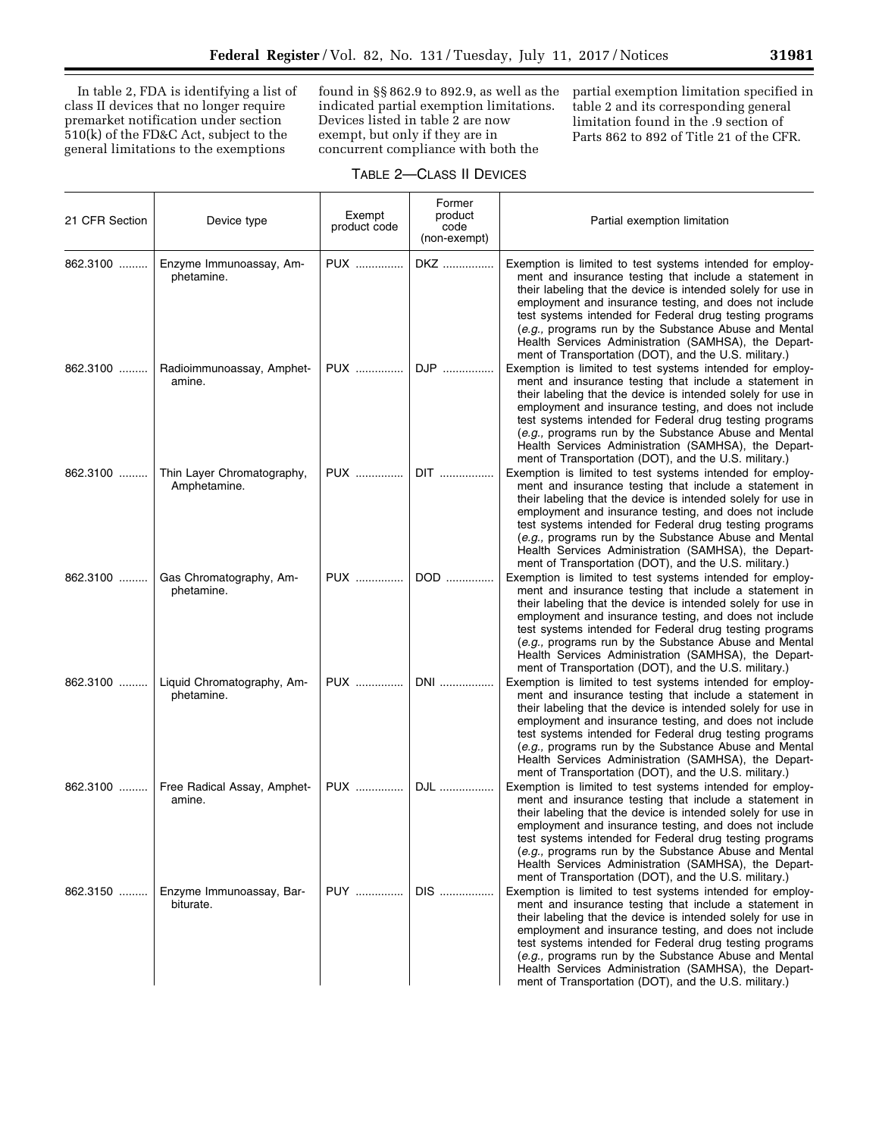In table 2, FDA is identifying a list of class II devices that no longer require premarket notification under section 510(k) of the FD&C Act, subject to the general limitations to the exemptions

found in §§ 862.9 to 892.9, as well as the indicated partial exemption limitations. Devices listed in table 2 are now exempt, but only if they are in concurrent compliance with both the

partial exemption limitation specified in table 2 and its corresponding general limitation found in the .9 section of Parts 862 to 892 of Title 21 of the CFR.

## TABLE 2—CLASS II DEVICES

| 21 CFR Section | Device type                                | Exempt<br>product code | Former<br>product<br>code<br>(non-exempt) | Partial exemption limitation                                                                                                                                                                                                                                                                                                                                                                                                                                                       |
|----------------|--------------------------------------------|------------------------|-------------------------------------------|------------------------------------------------------------------------------------------------------------------------------------------------------------------------------------------------------------------------------------------------------------------------------------------------------------------------------------------------------------------------------------------------------------------------------------------------------------------------------------|
| 862.3100       | Enzyme Immunoassay, Am-<br>phetamine.      | PUX                    | DKZ                                       | Exemption is limited to test systems intended for employ-<br>ment and insurance testing that include a statement in<br>their labeling that the device is intended solely for use in<br>employment and insurance testing, and does not include<br>test systems intended for Federal drug testing programs<br>(e.g., programs run by the Substance Abuse and Mental<br>Health Services Administration (SAMHSA), the Depart-<br>ment of Transportation (DOT), and the U.S. military.) |
| 862.3100       | Radioimmunoassay, Amphet-<br>amine.        | PUX                    | DJP                                       | Exemption is limited to test systems intended for employ-<br>ment and insurance testing that include a statement in<br>their labeling that the device is intended solely for use in<br>employment and insurance testing, and does not include<br>test systems intended for Federal drug testing programs<br>(e.g., programs run by the Substance Abuse and Mental<br>Health Services Administration (SAMHSA), the Depart-<br>ment of Transportation (DOT), and the U.S. military.) |
| 862.3100       | Thin Layer Chromatography,<br>Amphetamine. | PUX                    | DIT                                       | Exemption is limited to test systems intended for employ-<br>ment and insurance testing that include a statement in<br>their labeling that the device is intended solely for use in<br>employment and insurance testing, and does not include<br>test systems intended for Federal drug testing programs<br>(e.g., programs run by the Substance Abuse and Mental<br>Health Services Administration (SAMHSA), the Depart-<br>ment of Transportation (DOT), and the U.S. military.) |
| 862.3100       | Gas Chromatography, Am-<br>phetamine.      | PUX                    | DOD                                       | Exemption is limited to test systems intended for employ-<br>ment and insurance testing that include a statement in<br>their labeling that the device is intended solely for use in<br>employment and insurance testing, and does not include<br>test systems intended for Federal drug testing programs<br>(e.g., programs run by the Substance Abuse and Mental<br>Health Services Administration (SAMHSA), the Depart-<br>ment of Transportation (DOT), and the U.S. military.) |
| 862.3100       | Liquid Chromatography, Am-<br>phetamine.   | PUX                    | DNI                                       | Exemption is limited to test systems intended for employ-<br>ment and insurance testing that include a statement in<br>their labeling that the device is intended solely for use in<br>employment and insurance testing, and does not include<br>test systems intended for Federal drug testing programs<br>(e.g., programs run by the Substance Abuse and Mental<br>Health Services Administration (SAMHSA), the Depart-<br>ment of Transportation (DOT), and the U.S. military.) |
| 862.3100       | Free Radical Assay, Amphet-<br>amine.      | <b>PUX</b>             | DJL                                       | Exemption is limited to test systems intended for employ-<br>ment and insurance testing that include a statement in<br>their labeling that the device is intended solely for use in<br>employment and insurance testing, and does not include<br>test systems intended for Federal drug testing programs<br>(e.g., programs run by the Substance Abuse and Mental<br>Health Services Administration (SAMHSA), the Depart-<br>ment of Transportation (DOT), and the U.S. military.) |
| 862.3150       | Enzyme Immunoassay, Bar-<br>biturate.      | <b>PUY</b>             | DIS                                       | Exemption is limited to test systems intended for employ-<br>ment and insurance testing that include a statement in<br>their labeling that the device is intended solely for use in<br>employment and insurance testing, and does not include<br>test systems intended for Federal drug testing programs<br>(e.g., programs run by the Substance Abuse and Mental<br>Health Services Administration (SAMHSA), the Depart-<br>ment of Transportation (DOT), and the U.S. military.) |

۰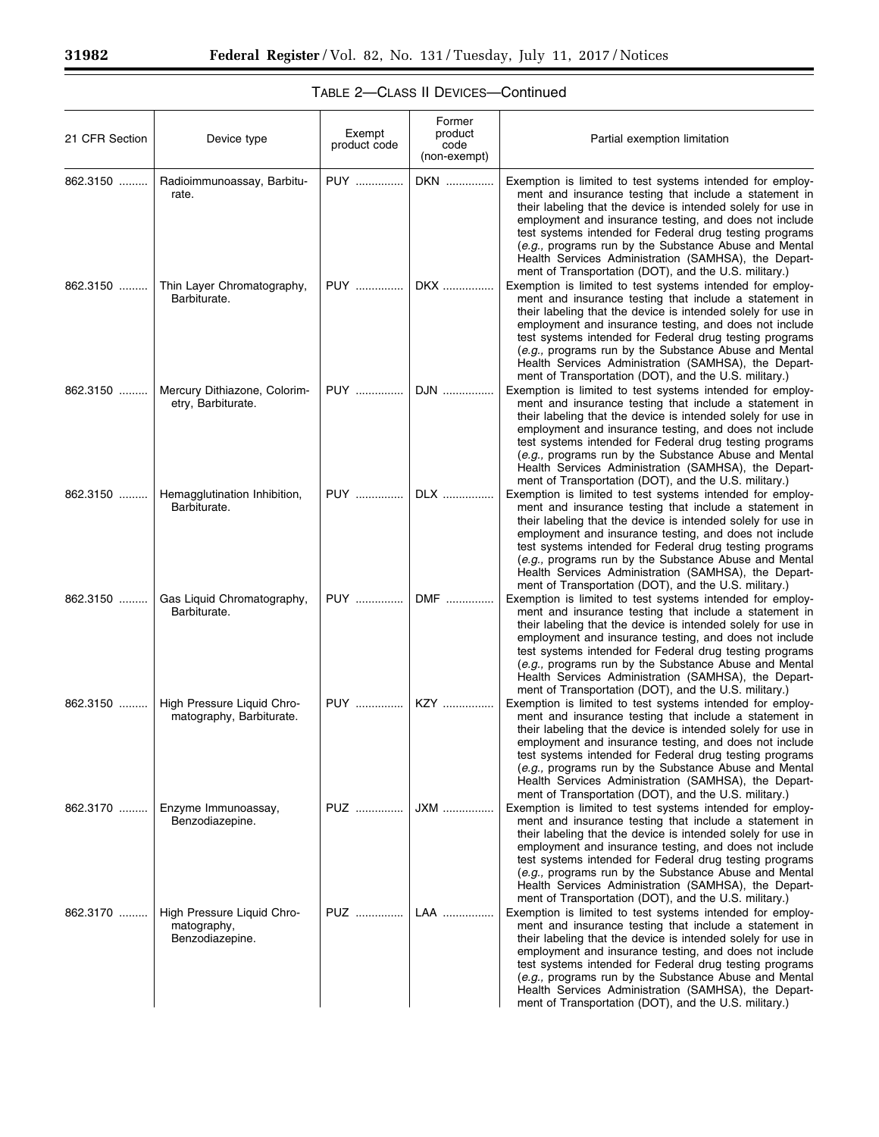| 21 CFR Section | Device type                                                  | Exempt<br>product code | Former<br>product<br>code<br>(non-exempt) | Partial exemption limitation                                                                                                                                                                                                                                                                                                                                                                                                                                                                                                                |
|----------------|--------------------------------------------------------------|------------------------|-------------------------------------------|---------------------------------------------------------------------------------------------------------------------------------------------------------------------------------------------------------------------------------------------------------------------------------------------------------------------------------------------------------------------------------------------------------------------------------------------------------------------------------------------------------------------------------------------|
| 862.3150       | Radioimmunoassay, Barbitu-<br>rate.                          | <b>PUY</b>             | DKN                                       | Exemption is limited to test systems intended for employ-<br>ment and insurance testing that include a statement in<br>their labeling that the device is intended solely for use in<br>employment and insurance testing, and does not include<br>test systems intended for Federal drug testing programs<br>(e.g., programs run by the Substance Abuse and Mental<br>Health Services Administration (SAMHSA), the Depart-<br>ment of Transportation (DOT), and the U.S. military.)                                                          |
| 862.3150       | Thin Layer Chromatography,<br>Barbiturate.                   | <b>PUY</b>             | DKX                                       | Exemption is limited to test systems intended for employ-<br>ment and insurance testing that include a statement in<br>their labeling that the device is intended solely for use in<br>employment and insurance testing, and does not include<br>test systems intended for Federal drug testing programs<br>(e.g., programs run by the Substance Abuse and Mental<br>Health Services Administration (SAMHSA), the Depart-<br>ment of Transportation (DOT), and the U.S. military.)                                                          |
| 862.3150       | Mercury Dithiazone, Colorim-<br>etry, Barbiturate.           | <b>PUY</b>             | DJN                                       | Exemption is limited to test systems intended for employ-<br>ment and insurance testing that include a statement in<br>their labeling that the device is intended solely for use in<br>employment and insurance testing, and does not include<br>test systems intended for Federal drug testing programs<br>(e.g., programs run by the Substance Abuse and Mental<br>Health Services Administration (SAMHSA), the Depart-<br>ment of Transportation (DOT), and the U.S. military.)                                                          |
|                | 862.3150    Hemagglutination Inhibition,<br>Barbiturate.     | PUY                    | DLX                                       | Exemption is limited to test systems intended for employ-<br>ment and insurance testing that include a statement in<br>their labeling that the device is intended solely for use in<br>employment and insurance testing, and does not include<br>test systems intended for Federal drug testing programs<br>(e.g., programs run by the Substance Abuse and Mental<br>Health Services Administration (SAMHSA), the Depart-                                                                                                                   |
| 862.3150       | Gas Liquid Chromatography,<br>Barbiturate.                   | <b>PUY</b>             | DMF                                       | ment of Transportation (DOT), and the U.S. military.)<br>Exemption is limited to test systems intended for employ-<br>ment and insurance testing that include a statement in<br>their labeling that the device is intended solely for use in<br>employment and insurance testing, and does not include<br>test systems intended for Federal drug testing programs<br>(e.g., programs run by the Substance Abuse and Mental<br>Health Services Administration (SAMHSA), the Depart-<br>ment of Transportation (DOT), and the U.S. military.) |
| 862.3150       | High Pressure Liquid Chro-<br>matography, Barbiturate.       | PUY                    | KZY                                       | Exemption is limited to test systems intended for employ-<br>ment and insurance testing that include a statement in<br>their labeling that the device is intended solely for use in<br>employment and insurance testing, and does not include<br>test systems intended for Federal drug testing programs<br>(e.g., programs run by the Substance Abuse and Mental<br>Health Services Administration (SAMHSA), the Depart-<br>ment of Transportation (DOT), and the U.S. military.)                                                          |
| 862.3170       | Enzyme Immunoassay,<br>Benzodiazepine.                       | <b>PUZ</b>             | JXM                                       | Exemption is limited to test systems intended for employ-<br>ment and insurance testing that include a statement in<br>their labeling that the device is intended solely for use in<br>employment and insurance testing, and does not include<br>test systems intended for Federal drug testing programs<br>(e.g., programs run by the Substance Abuse and Mental<br>Health Services Administration (SAMHSA), the Depart-<br>ment of Transportation (DOT), and the U.S. military.)                                                          |
| 862.3170       | High Pressure Liquid Chro-<br>matography,<br>Benzodiazepine. | PUZ                    | LAA                                       | Exemption is limited to test systems intended for employ-<br>ment and insurance testing that include a statement in<br>their labeling that the device is intended solely for use in<br>employment and insurance testing, and does not include<br>test systems intended for Federal drug testing programs<br>(e.g., programs run by the Substance Abuse and Mental<br>Health Services Administration (SAMHSA), the Depart-<br>ment of Transportation (DOT), and the U.S. military.)                                                          |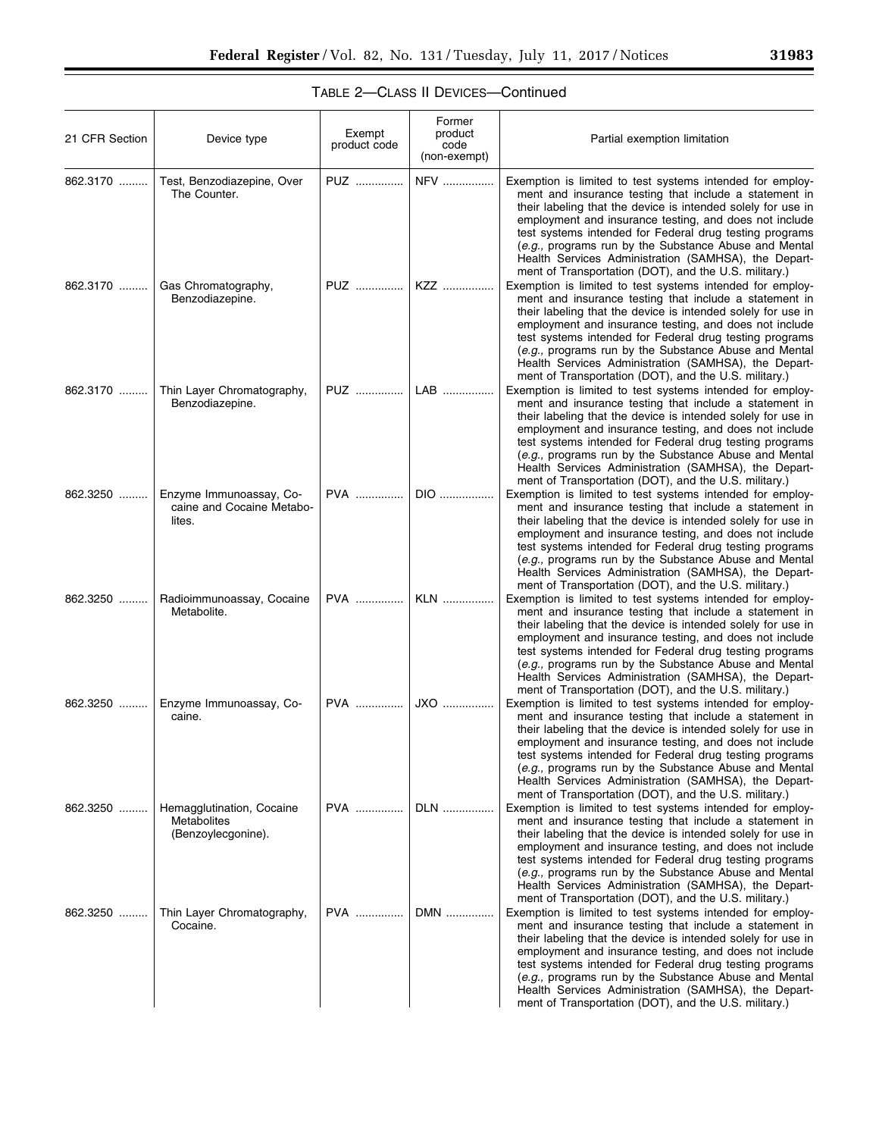| 31983 |  |  |
|-------|--|--|
|       |  |  |

| 21 CFR Section | Device type                                                    | Exempt<br>product code | Former<br>product<br>code<br>(non-exempt) | Partial exemption limitation                                                                                                                                                                                                                                                                                                                                                                                                                                                       |
|----------------|----------------------------------------------------------------|------------------------|-------------------------------------------|------------------------------------------------------------------------------------------------------------------------------------------------------------------------------------------------------------------------------------------------------------------------------------------------------------------------------------------------------------------------------------------------------------------------------------------------------------------------------------|
| 862.3170       | Test, Benzodiazepine, Over<br>The Counter.                     | PUZ                    | <b>NFV</b>                                | Exemption is limited to test systems intended for employ-<br>ment and insurance testing that include a statement in<br>their labeling that the device is intended solely for use in<br>employment and insurance testing, and does not include<br>test systems intended for Federal drug testing programs<br>(e.g., programs run by the Substance Abuse and Mental<br>Health Services Administration (SAMHSA), the Depart-<br>ment of Transportation (DOT), and the U.S. military.) |
| 862.3170       | Gas Chromatography,<br>Benzodiazepine.                         | PUZ                    | KZZ                                       | Exemption is limited to test systems intended for employ-<br>ment and insurance testing that include a statement in<br>their labeling that the device is intended solely for use in<br>employment and insurance testing, and does not include<br>test systems intended for Federal drug testing programs<br>(e.g., programs run by the Substance Abuse and Mental<br>Health Services Administration (SAMHSA), the Depart-<br>ment of Transportation (DOT), and the U.S. military.) |
| 862.3170       | Thin Layer Chromatography,<br>Benzodiazepine.                  | PUZ                    | LAB                                       | Exemption is limited to test systems intended for employ-<br>ment and insurance testing that include a statement in<br>their labeling that the device is intended solely for use in<br>employment and insurance testing, and does not include<br>test systems intended for Federal drug testing programs<br>(e.g., programs run by the Substance Abuse and Mental<br>Health Services Administration (SAMHSA), the Depart-<br>ment of Transportation (DOT), and the U.S. military.) |
| 862.3250       | Enzyme Immunoassay, Co-<br>caine and Cocaine Metabo-<br>lites. | <b>PVA</b>             | DIO                                       | Exemption is limited to test systems intended for employ-<br>ment and insurance testing that include a statement in<br>their labeling that the device is intended solely for use in<br>employment and insurance testing, and does not include<br>test systems intended for Federal drug testing programs<br>(e.g., programs run by the Substance Abuse and Mental<br>Health Services Administration (SAMHSA), the Depart-<br>ment of Transportation (DOT), and the U.S. military.) |
| 862.3250       | Radioimmunoassay, Cocaine<br>Metabolite.                       | <b>PVA</b>             | <b>KLN</b>                                | Exemption is limited to test systems intended for employ-<br>ment and insurance testing that include a statement in<br>their labeling that the device is intended solely for use in<br>employment and insurance testing, and does not include<br>test systems intended for Federal drug testing programs<br>(e.g., programs run by the Substance Abuse and Mental<br>Health Services Administration (SAMHSA), the Depart-<br>ment of Transportation (DOT), and the U.S. military.) |
| 862.3250       | Enzyme Immunoassay, Co-<br>caine.                              | PVA                    | JXO                                       | Exemption is limited to test systems intended for employ-<br>ment and insurance testing that include a statement in<br>their labeling that the device is intended solely for use in<br>employment and insurance testing, and does not include<br>test systems intended for Federal drug testing programs<br>(e.g., programs run by the Substance Abuse and Mental<br>Health Services Administration (SAMHSA), the Depart-<br>ment of Transportation (DOT), and the U.S. military.) |
| 862.3250       | Hemagglutination, Cocaine<br>Metabolites<br>(Benzoylecgonine). | <b>PVA</b>             | DLN                                       | Exemption is limited to test systems intended for employ-<br>ment and insurance testing that include a statement in<br>their labeling that the device is intended solely for use in<br>employment and insurance testing, and does not include<br>test systems intended for Federal drug testing programs<br>(e.g., programs run by the Substance Abuse and Mental<br>Health Services Administration (SAMHSA), the Depart-<br>ment of Transportation (DOT), and the U.S. military.) |
| 862.3250       | Thin Layer Chromatography,<br>Cocaine.                         | <b>PVA</b>             | DMN                                       | Exemption is limited to test systems intended for employ-<br>ment and insurance testing that include a statement in<br>their labeling that the device is intended solely for use in<br>employment and insurance testing, and does not include<br>test systems intended for Federal drug testing programs<br>(e.g., programs run by the Substance Abuse and Mental<br>Health Services Administration (SAMHSA), the Depart-<br>ment of Transportation (DOT), and the U.S. military.) |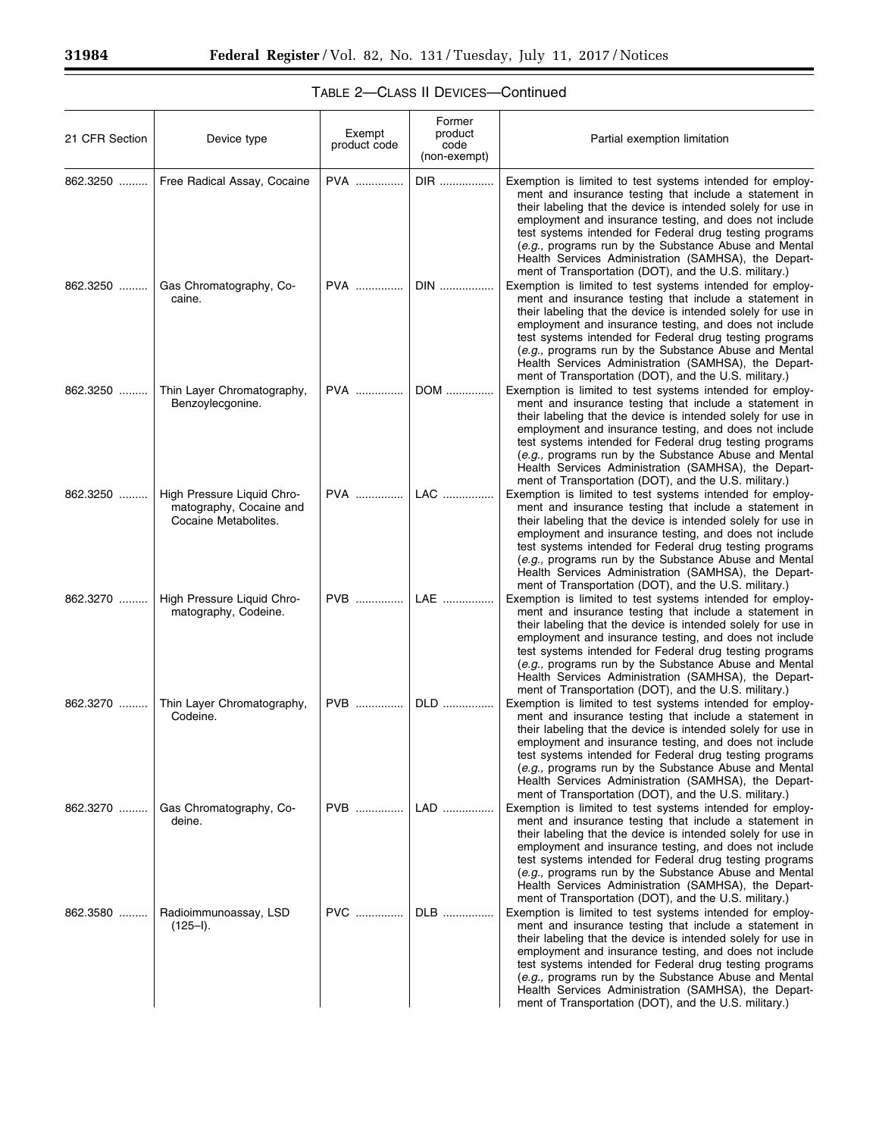| 21 CFR Section | Device type                                                                   | Exempt<br>product code | Former<br>product<br>code<br>(non-exempt) | Partial exemption limitation                                                                                                                                                                                                                                                                                                                                                                                                                                                       |
|----------------|-------------------------------------------------------------------------------|------------------------|-------------------------------------------|------------------------------------------------------------------------------------------------------------------------------------------------------------------------------------------------------------------------------------------------------------------------------------------------------------------------------------------------------------------------------------------------------------------------------------------------------------------------------------|
| 862.3250       | Free Radical Assay, Cocaine                                                   | PVA                    | DIR                                       | Exemption is limited to test systems intended for employ-<br>ment and insurance testing that include a statement in<br>their labeling that the device is intended solely for use in<br>employment and insurance testing, and does not include<br>test systems intended for Federal drug testing programs<br>(e.g., programs run by the Substance Abuse and Mental<br>Health Services Administration (SAMHSA), the Depart-<br>ment of Transportation (DOT), and the U.S. military.) |
| 862.3250       | Gas Chromatography, Co-<br>caine.                                             | <b>PVA</b>             | $DIN$                                     | Exemption is limited to test systems intended for employ-<br>ment and insurance testing that include a statement in<br>their labeling that the device is intended solely for use in<br>employment and insurance testing, and does not include<br>test systems intended for Federal drug testing programs<br>(e.g., programs run by the Substance Abuse and Mental<br>Health Services Administration (SAMHSA), the Depart-<br>ment of Transportation (DOT), and the U.S. military.) |
| 862.3250       | Thin Layer Chromatography,<br>Benzoylecgonine.                                | <b>PVA</b>             | DOM                                       | Exemption is limited to test systems intended for employ-<br>ment and insurance testing that include a statement in<br>their labeling that the device is intended solely for use in<br>employment and insurance testing, and does not include<br>test systems intended for Federal drug testing programs<br>(e.g., programs run by the Substance Abuse and Mental<br>Health Services Administration (SAMHSA), the Depart-<br>ment of Transportation (DOT), and the U.S. military.) |
| 862.3250       | High Pressure Liquid Chro-<br>matography, Cocaine and<br>Cocaine Metabolites. | <b>PVA</b>             | LAC                                       | Exemption is limited to test systems intended for employ-<br>ment and insurance testing that include a statement in<br>their labeling that the device is intended solely for use in<br>employment and insurance testing, and does not include<br>test systems intended for Federal drug testing programs<br>(e.g., programs run by the Substance Abuse and Mental<br>Health Services Administration (SAMHSA), the Depart-<br>ment of Transportation (DOT), and the U.S. military.) |
| 862.3270       | High Pressure Liquid Chro-<br>matography, Codeine.                            | PVB                    | LAE                                       | Exemption is limited to test systems intended for employ-<br>ment and insurance testing that include a statement in<br>their labeling that the device is intended solely for use in<br>employment and insurance testing, and does not include<br>test systems intended for Federal drug testing programs<br>(e.g., programs run by the Substance Abuse and Mental<br>Health Services Administration (SAMHSA), the Depart-<br>ment of Transportation (DOT), and the U.S. military.) |
| 862.3270       | Thin Layer Chromatography,<br>Codeine.                                        | PVB                    | DLD                                       | Exemption is limited to test systems intended for employ-<br>ment and insurance testing that include a statement in<br>their labeling that the device is intended solely for use in<br>employment and insurance testing, and does not include<br>test systems intended for Federal drug testing programs<br>(e.g., programs run by the Substance Abuse and Mental<br>Health Services Administration (SAMHSA), the Depart-<br>ment of Transportation (DOT), and the U.S. military.) |
| 862.3270       | Gas Chromatography, Co-<br>deine.                                             | PVB                    | LAD                                       | Exemption is limited to test systems intended for employ-<br>ment and insurance testing that include a statement in<br>their labeling that the device is intended solely for use in<br>employment and insurance testing, and does not include<br>test systems intended for Federal drug testing programs<br>(e.g., programs run by the Substance Abuse and Mental<br>Health Services Administration (SAMHSA), the Depart-<br>ment of Transportation (DOT), and the U.S. military.) |
| 862.3580       | Radioimmunoassay, LSD<br>$(125 - I).$                                         | <b>PVC</b>             | DLB                                       | Exemption is limited to test systems intended for employ-<br>ment and insurance testing that include a statement in<br>their labeling that the device is intended solely for use in<br>employment and insurance testing, and does not include<br>test systems intended for Federal drug testing programs<br>(e.g., programs run by the Substance Abuse and Mental<br>Health Services Administration (SAMHSA), the Depart-<br>ment of Transportation (DOT), and the U.S. military.) |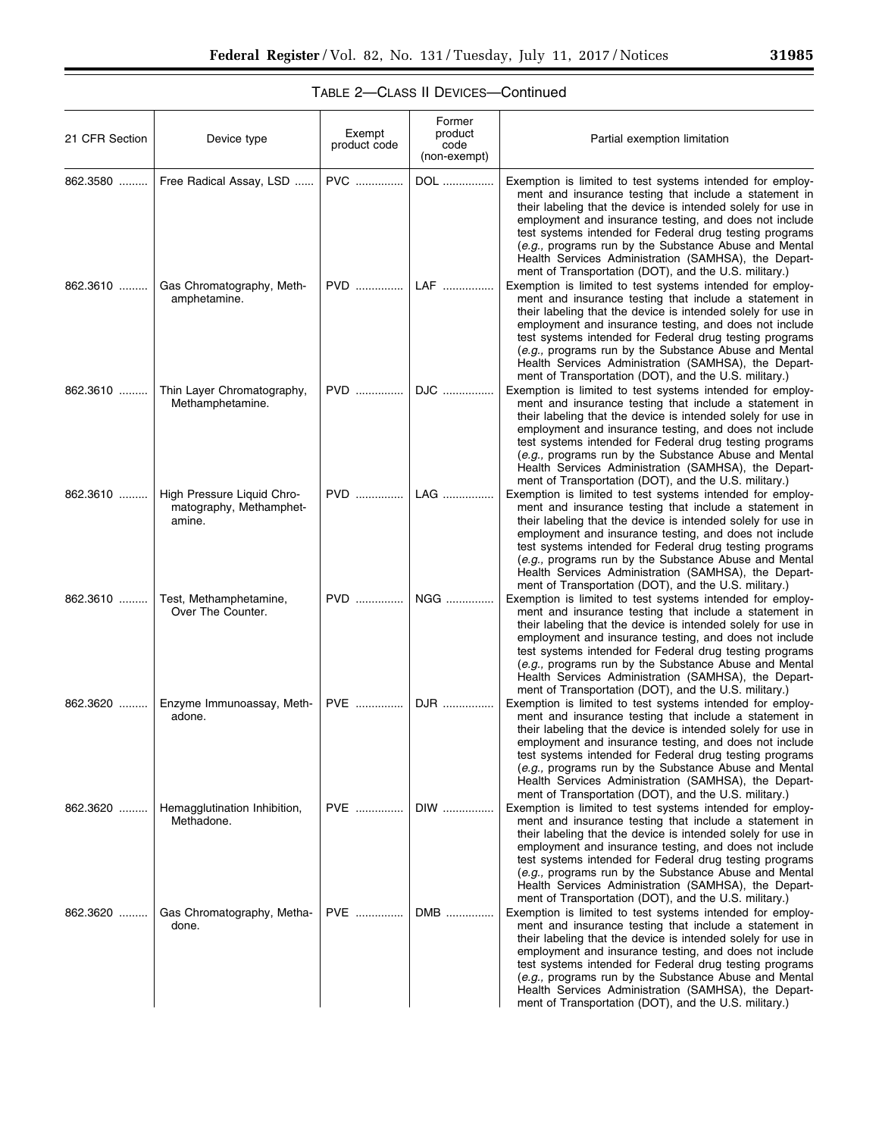|  | 31985 |  |
|--|-------|--|
|  |       |  |

| 21 CFR Section | Device type                                                     | Exempt<br>product code | Former<br>product<br>code<br>(non-exempt) | Partial exemption limitation                                                                                                                                                                                                                                                                                                                                                                                                                                                       |
|----------------|-----------------------------------------------------------------|------------------------|-------------------------------------------|------------------------------------------------------------------------------------------------------------------------------------------------------------------------------------------------------------------------------------------------------------------------------------------------------------------------------------------------------------------------------------------------------------------------------------------------------------------------------------|
| 862.3580       | Free Radical Assay, LSD                                         | <b>PVC</b>             | DOL                                       | Exemption is limited to test systems intended for employ-<br>ment and insurance testing that include a statement in<br>their labeling that the device is intended solely for use in<br>employment and insurance testing, and does not include<br>test systems intended for Federal drug testing programs<br>(e.g., programs run by the Substance Abuse and Mental<br>Health Services Administration (SAMHSA), the Depart-<br>ment of Transportation (DOT), and the U.S. military.) |
| 862.3610       | Gas Chromatography, Meth-<br>amphetamine.                       | <b>PVD</b>             | LAF                                       | Exemption is limited to test systems intended for employ-<br>ment and insurance testing that include a statement in<br>their labeling that the device is intended solely for use in<br>employment and insurance testing, and does not include<br>test systems intended for Federal drug testing programs<br>(e.g., programs run by the Substance Abuse and Mental<br>Health Services Administration (SAMHSA), the Depart-<br>ment of Transportation (DOT), and the U.S. military.) |
| 862.3610       | Thin Layer Chromatography,<br>Methamphetamine.                  | PVD                    | DJC                                       | Exemption is limited to test systems intended for employ-<br>ment and insurance testing that include a statement in<br>their labeling that the device is intended solely for use in<br>employment and insurance testing, and does not include<br>test systems intended for Federal drug testing programs<br>(e.g., programs run by the Substance Abuse and Mental<br>Health Services Administration (SAMHSA), the Depart-<br>ment of Transportation (DOT), and the U.S. military.) |
| 862.3610       | High Pressure Liquid Chro-<br>matography, Methamphet-<br>amine. | PVD                    | LAG                                       | Exemption is limited to test systems intended for employ-<br>ment and insurance testing that include a statement in<br>their labeling that the device is intended solely for use in<br>employment and insurance testing, and does not include<br>test systems intended for Federal drug testing programs<br>(e.g., programs run by the Substance Abuse and Mental<br>Health Services Administration (SAMHSA), the Depart-<br>ment of Transportation (DOT), and the U.S. military.) |
| 862.3610       | Test, Methamphetamine,<br>Over The Counter.                     | PVD                    | NGG                                       | Exemption is limited to test systems intended for employ-<br>ment and insurance testing that include a statement in<br>their labeling that the device is intended solely for use in<br>employment and insurance testing, and does not include<br>test systems intended for Federal drug testing programs<br>(e.g., programs run by the Substance Abuse and Mental<br>Health Services Administration (SAMHSA), the Depart-<br>ment of Transportation (DOT), and the U.S. military.) |
| 862.3620       | Enzyme Immunoassay, Meth-<br>adone.                             | PVE                    | DJR                                       | Exemption is limited to test systems intended for employ-<br>ment and insurance testing that include a statement in<br>their labeling that the device is intended solely for use in<br>employment and insurance testing, and does not include<br>test systems intended for Federal drug testing programs<br>(e.g., programs run by the Substance Abuse and Mental<br>Health Services Administration (SAMHSA), the Depart-<br>ment of Transportation (DOT), and the U.S. military.) |
| 862.3620       | Hemagglutination Inhibition,<br>Methadone.                      | <b>PVE</b>             | DIW                                       | Exemption is limited to test systems intended for employ-<br>ment and insurance testing that include a statement in<br>their labeling that the device is intended solely for use in<br>employment and insurance testing, and does not include<br>test systems intended for Federal drug testing programs<br>(e.g., programs run by the Substance Abuse and Mental<br>Health Services Administration (SAMHSA), the Depart-<br>ment of Transportation (DOT), and the U.S. military.) |
| 862.3620       | Gas Chromatography, Metha-<br>done.                             | PVE                    | DMB                                       | Exemption is limited to test systems intended for employ-<br>ment and insurance testing that include a statement in<br>their labeling that the device is intended solely for use in<br>employment and insurance testing, and does not include<br>test systems intended for Federal drug testing programs<br>(e.g., programs run by the Substance Abuse and Mental<br>Health Services Administration (SAMHSA), the Depart-<br>ment of Transportation (DOT), and the U.S. military.) |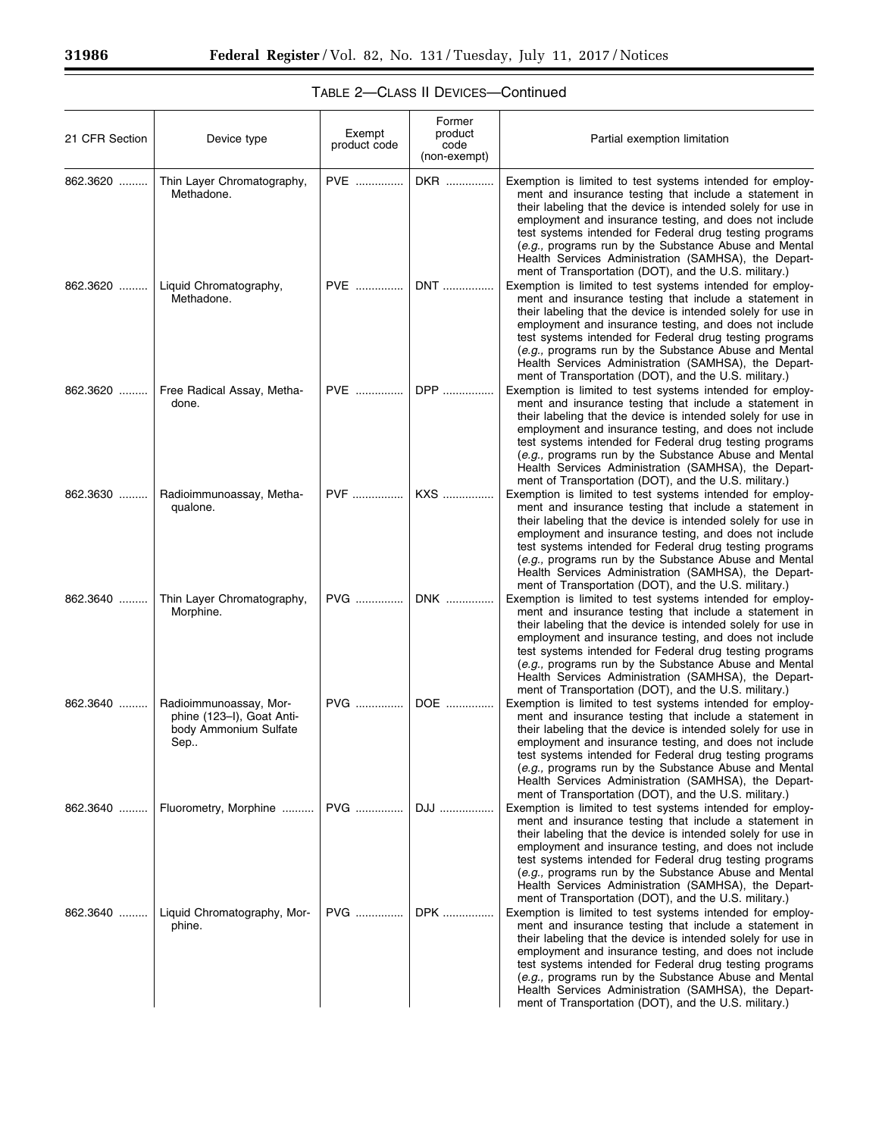| 21 CFR Section | Device type                                                                         | Exempt<br>product code | Former<br>product<br>code<br>(non-exempt) | Partial exemption limitation                                                                                                                                                                                                                                                                                                                                                                                                                                                       |
|----------------|-------------------------------------------------------------------------------------|------------------------|-------------------------------------------|------------------------------------------------------------------------------------------------------------------------------------------------------------------------------------------------------------------------------------------------------------------------------------------------------------------------------------------------------------------------------------------------------------------------------------------------------------------------------------|
| 862.3620       | Thin Layer Chromatography,<br>Methadone.                                            | PVE                    | DKR                                       | Exemption is limited to test systems intended for employ-<br>ment and insurance testing that include a statement in<br>their labeling that the device is intended solely for use in<br>employment and insurance testing, and does not include<br>test systems intended for Federal drug testing programs<br>(e.g., programs run by the Substance Abuse and Mental<br>Health Services Administration (SAMHSA), the Depart-<br>ment of Transportation (DOT), and the U.S. military.) |
| 862.3620       | Liquid Chromatography,<br>Methadone.                                                | <b>PVE</b>             | DNT                                       | Exemption is limited to test systems intended for employ-<br>ment and insurance testing that include a statement in<br>their labeling that the device is intended solely for use in<br>employment and insurance testing, and does not include<br>test systems intended for Federal drug testing programs<br>(e.g., programs run by the Substance Abuse and Mental<br>Health Services Administration (SAMHSA), the Depart-<br>ment of Transportation (DOT), and the U.S. military.) |
| 862.3620       | Free Radical Assay, Metha-<br>done.                                                 | PVE                    | DPP                                       | Exemption is limited to test systems intended for employ-<br>ment and insurance testing that include a statement in<br>their labeling that the device is intended solely for use in<br>employment and insurance testing, and does not include<br>test systems intended for Federal drug testing programs<br>(e.g., programs run by the Substance Abuse and Mental<br>Health Services Administration (SAMHSA), the Depart-<br>ment of Transportation (DOT), and the U.S. military.) |
| 862.3630       | Radioimmunoassay, Metha-<br>qualone.                                                | <b>PVF</b>             | KXS                                       | Exemption is limited to test systems intended for employ-<br>ment and insurance testing that include a statement in<br>their labeling that the device is intended solely for use in<br>employment and insurance testing, and does not include<br>test systems intended for Federal drug testing programs<br>(e.g., programs run by the Substance Abuse and Mental<br>Health Services Administration (SAMHSA), the Depart-<br>ment of Transportation (DOT), and the U.S. military.) |
| 862.3640       | Thin Layer Chromatography,<br>Morphine.                                             | PVG                    | DNK                                       | Exemption is limited to test systems intended for employ-<br>ment and insurance testing that include a statement in<br>their labeling that the device is intended solely for use in<br>employment and insurance testing, and does not include<br>test systems intended for Federal drug testing programs<br>(e.g., programs run by the Substance Abuse and Mental<br>Health Services Administration (SAMHSA), the Depart-<br>ment of Transportation (DOT), and the U.S. military.) |
| $862.3640$     | Radioimmunoassay, Mor-<br>phine (123-I), Goat Anti-<br>body Ammonium Sulfate<br>Sep | PVG                    | DOE                                       | Exemption is limited to test systems intended for employ-<br>ment and insurance testing that include a statement in<br>their labeling that the device is intended solely for use in<br>employment and insurance testing, and does not include<br>test systems intended for Federal drug testing programs<br>(e.g., programs run by the Substance Abuse and Mental<br>Health Services Administration (SAMHSA), the Depart-<br>ment of Transportation (DOT), and the U.S. military.) |
| 862.3640       | Fluorometry, Morphine                                                               | PVG                    | DJJ                                       | Exemption is limited to test systems intended for employ-<br>ment and insurance testing that include a statement in<br>their labeling that the device is intended solely for use in<br>employment and insurance testing, and does not include<br>test systems intended for Federal drug testing programs<br>(e.g., programs run by the Substance Abuse and Mental<br>Health Services Administration (SAMHSA), the Depart-<br>ment of Transportation (DOT), and the U.S. military.) |
| 862.3640       | Liquid Chromatography, Mor-<br>phine.                                               | $PVG$                  | DPK                                       | Exemption is limited to test systems intended for employ-<br>ment and insurance testing that include a statement in<br>their labeling that the device is intended solely for use in<br>employment and insurance testing, and does not include<br>test systems intended for Federal drug testing programs<br>(e.g., programs run by the Substance Abuse and Mental<br>Health Services Administration (SAMHSA), the Depart-<br>ment of Transportation (DOT), and the U.S. military.) |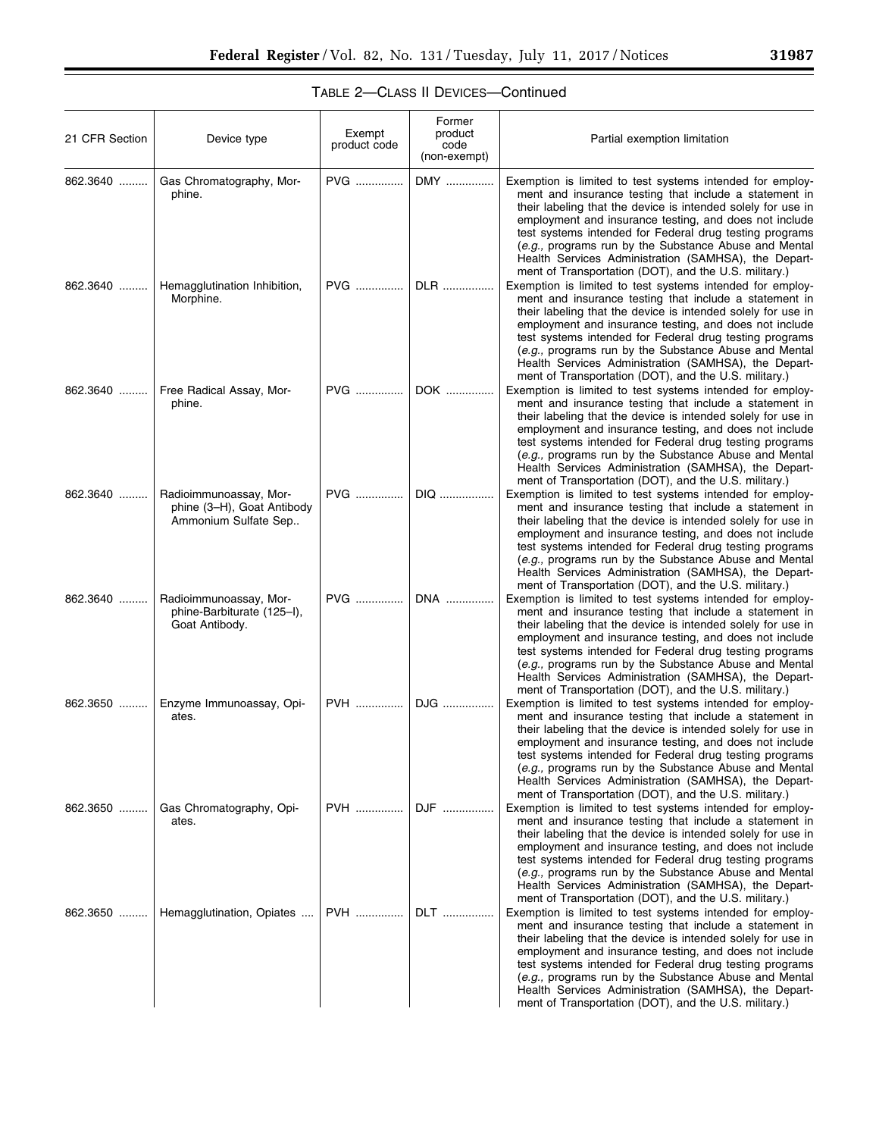| 21 CFR Section | Device type                                                                  | Exempt<br>product code | Former<br>product<br>code<br>(non-exempt) | Partial exemption limitation                                                                                                                                                                                                                                                                                                                                                                                                                                                                                                                |
|----------------|------------------------------------------------------------------------------|------------------------|-------------------------------------------|---------------------------------------------------------------------------------------------------------------------------------------------------------------------------------------------------------------------------------------------------------------------------------------------------------------------------------------------------------------------------------------------------------------------------------------------------------------------------------------------------------------------------------------------|
| 862.3640       | Gas Chromatography, Mor-<br>phine.                                           | PVG                    | DMY                                       | Exemption is limited to test systems intended for employ-<br>ment and insurance testing that include a statement in<br>their labeling that the device is intended solely for use in<br>employment and insurance testing, and does not include<br>test systems intended for Federal drug testing programs<br>(e.g., programs run by the Substance Abuse and Mental<br>Health Services Administration (SAMHSA), the Depart-<br>ment of Transportation (DOT), and the U.S. military.)                                                          |
| 862.3640       | Hemagglutination Inhibition,<br>Morphine.                                    | PVG                    | DLR                                       | Exemption is limited to test systems intended for employ-<br>ment and insurance testing that include a statement in<br>their labeling that the device is intended solely for use in<br>employment and insurance testing, and does not include<br>test systems intended for Federal drug testing programs<br>(e.g., programs run by the Substance Abuse and Mental<br>Health Services Administration (SAMHSA), the Depart-<br>ment of Transportation (DOT), and the U.S. military.)                                                          |
| 862.3640       | Free Radical Assay, Mor-<br>phine.                                           | PVG                    | DOK                                       | Exemption is limited to test systems intended for employ-<br>ment and insurance testing that include a statement in<br>their labeling that the device is intended solely for use in<br>employment and insurance testing, and does not include<br>test systems intended for Federal drug testing programs<br>(e.g., programs run by the Substance Abuse and Mental<br>Health Services Administration (SAMHSA), the Depart-<br>ment of Transportation (DOT), and the U.S. military.)                                                          |
| 862.3640       | Radioimmunoassay, Mor-<br>phine (3-H), Goat Antibody<br>Ammonium Sulfate Sep | PVG                    | DIQ                                       | Exemption is limited to test systems intended for employ-<br>ment and insurance testing that include a statement in<br>their labeling that the device is intended solely for use in<br>employment and insurance testing, and does not include<br>test systems intended for Federal drug testing programs<br>(e.g., programs run by the Substance Abuse and Mental<br>Health Services Administration (SAMHSA), the Depart-<br>ment of Transportation (DOT), and the U.S. military.)                                                          |
| 862.3640       | Radioimmunoassay, Mor-<br>phine-Barbiturate (125-I),<br>Goat Antibody.       | PVG                    | DNA                                       | Exemption is limited to test systems intended for employ-<br>ment and insurance testing that include a statement in<br>their labeling that the device is intended solely for use in<br>employment and insurance testing, and does not include<br>test systems intended for Federal drug testing programs<br>(e.g., programs run by the Substance Abuse and Mental<br>Health Services Administration (SAMHSA), the Depart-<br>ment of Transportation (DOT), and the U.S. military.)                                                          |
| 862.3650       | Enzyme Immunoassay, Opi-<br>ates.                                            | PVH                    | DJG                                       | Exemption is limited to test systems intended for employ-<br>ment and insurance testing that include a statement in<br>their labeling that the device is intended solely for use in<br>employment and insurance testing, and does not include<br>test systems intended for Federal drug testing programs<br>(e.g., programs run by the Substance Abuse and Mental<br>Health Services Administration (SAMHSA), the Depart-                                                                                                                   |
| 862.3650       | Gas Chromatography, Opi-<br>ates.                                            | <b>PVH</b>             | DJF                                       | ment of Transportation (DOT), and the U.S. military.)<br>Exemption is limited to test systems intended for employ-<br>ment and insurance testing that include a statement in<br>their labeling that the device is intended solely for use in<br>employment and insurance testing, and does not include<br>test systems intended for Federal drug testing programs<br>(e.g., programs run by the Substance Abuse and Mental<br>Health Services Administration (SAMHSA), the Depart-                                                          |
| 862.3650       | Hemagglutination, Opiates                                                    | <b>PVH</b>             | DLT                                       | ment of Transportation (DOT), and the U.S. military.)<br>Exemption is limited to test systems intended for employ-<br>ment and insurance testing that include a statement in<br>their labeling that the device is intended solely for use in<br>employment and insurance testing, and does not include<br>test systems intended for Federal drug testing programs<br>(e.g., programs run by the Substance Abuse and Mental<br>Health Services Administration (SAMHSA), the Depart-<br>ment of Transportation (DOT), and the U.S. military.) |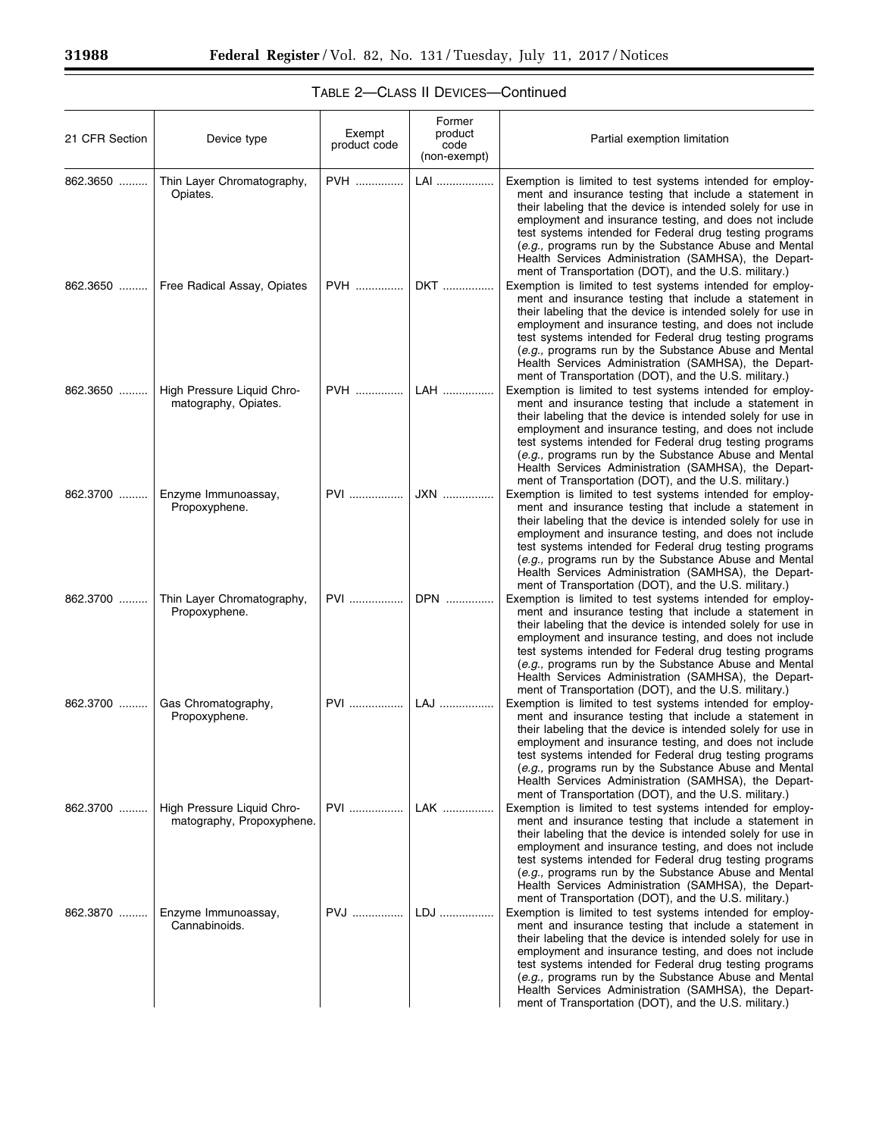| 21 CFR Section | Device type                                             | Exempt<br>product code | Former<br>product<br>code<br>(non-exempt) | Partial exemption limitation                                                                                                                                                                                                                                                                                                                                                                                                                                                       |
|----------------|---------------------------------------------------------|------------------------|-------------------------------------------|------------------------------------------------------------------------------------------------------------------------------------------------------------------------------------------------------------------------------------------------------------------------------------------------------------------------------------------------------------------------------------------------------------------------------------------------------------------------------------|
| 862.3650       | Thin Layer Chromatography,<br>Opiates.                  | <b>PVH</b>             | LAI                                       | Exemption is limited to test systems intended for employ-<br>ment and insurance testing that include a statement in<br>their labeling that the device is intended solely for use in<br>employment and insurance testing, and does not include<br>test systems intended for Federal drug testing programs<br>(e.g., programs run by the Substance Abuse and Mental<br>Health Services Administration (SAMHSA), the Depart-<br>ment of Transportation (DOT), and the U.S. military.) |
| $862.3650$     | Free Radical Assay, Opiates                             | <b>PVH</b>             | DKT                                       | Exemption is limited to test systems intended for employ-<br>ment and insurance testing that include a statement in<br>their labeling that the device is intended solely for use in<br>employment and insurance testing, and does not include<br>test systems intended for Federal drug testing programs<br>(e.g., programs run by the Substance Abuse and Mental<br>Health Services Administration (SAMHSA), the Depart-<br>ment of Transportation (DOT), and the U.S. military.) |
| 862.3650       | High Pressure Liquid Chro-<br>matography, Opiates.      | <b>PVH</b>             | LAH                                       | Exemption is limited to test systems intended for employ-<br>ment and insurance testing that include a statement in<br>their labeling that the device is intended solely for use in<br>employment and insurance testing, and does not include<br>test systems intended for Federal drug testing programs<br>(e.g., programs run by the Substance Abuse and Mental<br>Health Services Administration (SAMHSA), the Depart-<br>ment of Transportation (DOT), and the U.S. military.) |
| 862.3700       | Enzyme Immunoassay,<br>Propoxyphene.                    | <b>PVI</b>             | JXN                                       | Exemption is limited to test systems intended for employ-<br>ment and insurance testing that include a statement in<br>their labeling that the device is intended solely for use in<br>employment and insurance testing, and does not include<br>test systems intended for Federal drug testing programs<br>(e.g., programs run by the Substance Abuse and Mental<br>Health Services Administration (SAMHSA), the Depart-<br>ment of Transportation (DOT), and the U.S. military.) |
| 862.3700       | Thin Layer Chromatography,<br>Propoxyphene.             | PVI                    | DPN                                       | Exemption is limited to test systems intended for employ-<br>ment and insurance testing that include a statement in<br>their labeling that the device is intended solely for use in<br>employment and insurance testing, and does not include<br>test systems intended for Federal drug testing programs<br>(e.g., programs run by the Substance Abuse and Mental<br>Health Services Administration (SAMHSA), the Depart-<br>ment of Transportation (DOT), and the U.S. military.) |
| 862.3700       | Gas Chromatography,<br>Propoxyphene.                    | PVI                    | LAJ                                       | Exemption is limited to test systems intended for employ-<br>ment and insurance testing that include a statement in<br>their labeling that the device is intended solely for use in<br>employment and insurance testing, and does not include<br>test systems intended for Federal drug testing programs<br>(e.g., programs run by the Substance Abuse and Mental<br>Health Services Administration (SAMHSA), the Depart-<br>ment of Transportation (DOT), and the U.S. military.) |
| 862.3700       | High Pressure Liguid Chro-<br>matography, Propoxyphene. | <b>PVI</b>             | LAK                                       | Exemption is limited to test systems intended for employ-<br>ment and insurance testing that include a statement in<br>their labeling that the device is intended solely for use in<br>employment and insurance testing, and does not include<br>test systems intended for Federal drug testing programs<br>(e.g., programs run by the Substance Abuse and Mental<br>Health Services Administration (SAMHSA), the Depart-<br>ment of Transportation (DOT), and the U.S. military.) |
| 862.3870       | Enzyme Immunoassay,<br>Cannabinoids.                    | PVJ                    | LDJ                                       | Exemption is limited to test systems intended for employ-<br>ment and insurance testing that include a statement in<br>their labeling that the device is intended solely for use in<br>employment and insurance testing, and does not include<br>test systems intended for Federal drug testing programs<br>(e.g., programs run by the Substance Abuse and Mental<br>Health Services Administration (SAMHSA), the Depart-<br>ment of Transportation (DOT), and the U.S. military.) |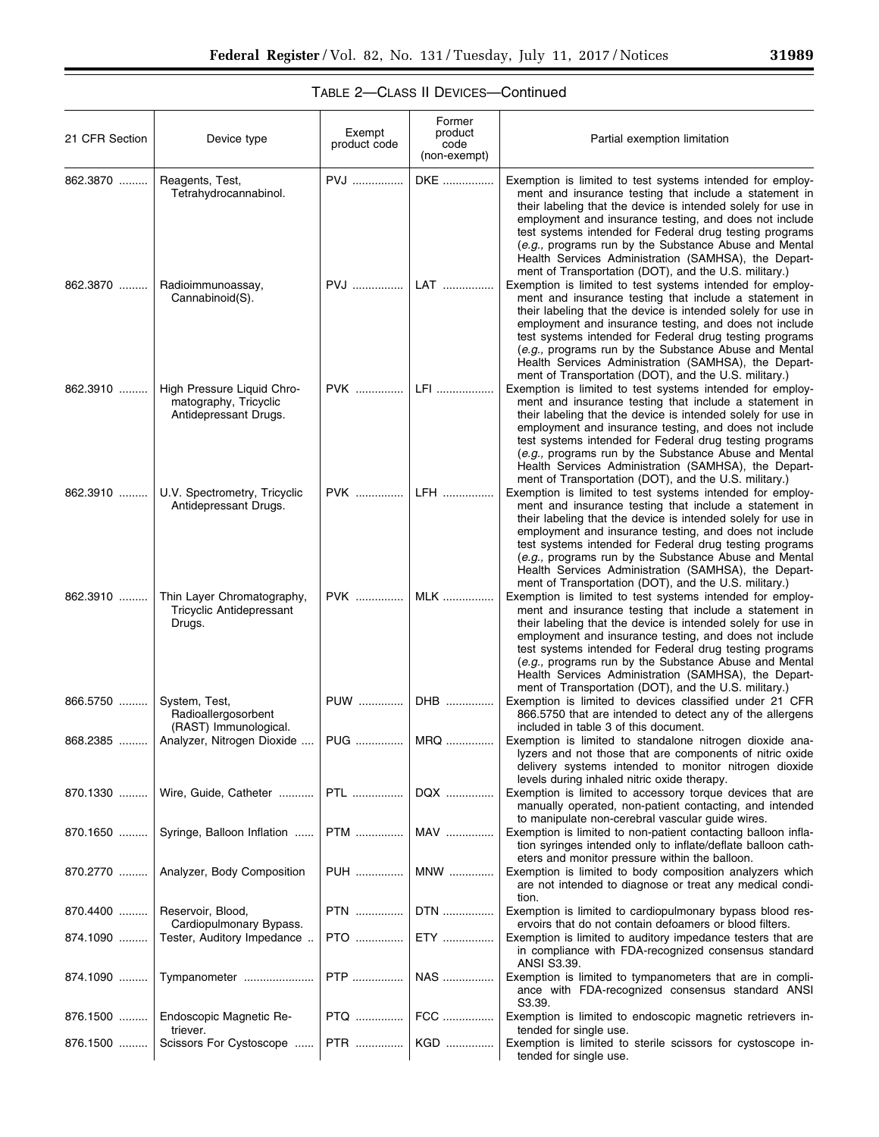| 31989 |  |  |
|-------|--|--|
|       |  |  |

| 21 CFR Section | Device type                                                                  | Exempt<br>product code | Former<br>product<br>code<br>(non-exempt) | Partial exemption limitation                                                                                                                                                                                                                                                                                                                                                                                                                                                       |
|----------------|------------------------------------------------------------------------------|------------------------|-------------------------------------------|------------------------------------------------------------------------------------------------------------------------------------------------------------------------------------------------------------------------------------------------------------------------------------------------------------------------------------------------------------------------------------------------------------------------------------------------------------------------------------|
| 862.3870       | Reagents, Test,<br>Tetrahydrocannabinol.                                     | <b>PVJ</b>             | DKE                                       | Exemption is limited to test systems intended for employ-<br>ment and insurance testing that include a statement in<br>their labeling that the device is intended solely for use in<br>employment and insurance testing, and does not include<br>test systems intended for Federal drug testing programs<br>(e.g., programs run by the Substance Abuse and Mental<br>Health Services Administration (SAMHSA), the Depart-<br>ment of Transportation (DOT), and the U.S. military.) |
| 862.3870       | Radioimmunoassay,<br>Cannabinoid(S).                                         | <b>PVJ</b>             | LAT                                       | Exemption is limited to test systems intended for employ-<br>ment and insurance testing that include a statement in<br>their labeling that the device is intended solely for use in<br>employment and insurance testing, and does not include<br>test systems intended for Federal drug testing programs<br>(e.g., programs run by the Substance Abuse and Mental<br>Health Services Administration (SAMHSA), the Depart-<br>ment of Transportation (DOT), and the U.S. military.) |
| 862.3910       | High Pressure Liquid Chro-<br>matography, Tricyclic<br>Antidepressant Drugs. | PVK                    | LFI                                       | Exemption is limited to test systems intended for employ-<br>ment and insurance testing that include a statement in<br>their labeling that the device is intended solely for use in<br>employment and insurance testing, and does not include<br>test systems intended for Federal drug testing programs<br>(e.g., programs run by the Substance Abuse and Mental<br>Health Services Administration (SAMHSA), the Depart-<br>ment of Transportation (DOT), and the U.S. military.) |
| 862.3910       | U.V. Spectrometry, Tricyclic<br>Antidepressant Drugs.                        | PVK                    | LFH                                       | Exemption is limited to test systems intended for employ-<br>ment and insurance testing that include a statement in<br>their labeling that the device is intended solely for use in<br>employment and insurance testing, and does not include<br>test systems intended for Federal drug testing programs<br>(e.g., programs run by the Substance Abuse and Mental<br>Health Services Administration (SAMHSA), the Depart-<br>ment of Transportation (DOT), and the U.S. military.) |
| 862.3910       | Thin Layer Chromatography,<br><b>Tricyclic Antidepressant</b><br>Drugs.      | PVK                    | <b>MLK</b>                                | Exemption is limited to test systems intended for employ-<br>ment and insurance testing that include a statement in<br>their labeling that the device is intended solely for use in<br>employment and insurance testing, and does not include<br>test systems intended for Federal drug testing programs<br>(e.g., programs run by the Substance Abuse and Mental<br>Health Services Administration (SAMHSA), the Depart-<br>ment of Transportation (DOT), and the U.S. military.) |
| 866.5750       | System, Test,<br>Radioallergosorbent<br>(RAST) Immunological.                | PUW                    | DHB                                       | Exemption is limited to devices classified under 21 CFR<br>866.5750 that are intended to detect any of the allergens<br>included in table 3 of this document.                                                                                                                                                                                                                                                                                                                      |
|                | 868.2385    Analyzer, Nitrogen Dioxide                                       |                        | PUG    MRQ                                | Exemption is limited to standalone nitrogen dioxide ana-<br>lyzers and not those that are components of nitric oxide<br>delivery systems intended to monitor nitrogen dioxide<br>levels during inhaled nitric oxide therapy.                                                                                                                                                                                                                                                       |
| 870.1330       | Wire, Guide, Catheter                                                        | <b>PTL</b>             | DQX                                       | Exemption is limited to accessory torque devices that are<br>manually operated, non-patient contacting, and intended<br>to manipulate non-cerebral vascular guide wires.                                                                                                                                                                                                                                                                                                           |
| 870.1650       | Syringe, Balloon Inflation                                                   | PTM                    | MAV                                       | Exemption is limited to non-patient contacting balloon infla-<br>tion syringes intended only to inflate/deflate balloon cath-<br>eters and monitor pressure within the balloon.                                                                                                                                                                                                                                                                                                    |
|                | 870.2770    Analyzer, Body Composition                                       | PUH                    | MNW                                       | Exemption is limited to body composition analyzers which<br>are not intended to diagnose or treat any medical condi-<br>tion.                                                                                                                                                                                                                                                                                                                                                      |
| 870.4400       | Reservoir, Blood,<br>Cardiopulmonary Bypass.                                 | <b>PTN</b>             | DTN                                       | Exemption is limited to cardiopulmonary bypass blood res-<br>ervoirs that do not contain defoamers or blood filters.                                                                                                                                                                                                                                                                                                                                                               |
| 874.1090       | Tester, Auditory Impedance                                                   | <b>PTO</b>             | ETY                                       | Exemption is limited to auditory impedance testers that are<br>in compliance with FDA-recognized consensus standard<br>ANSI S3.39.                                                                                                                                                                                                                                                                                                                                                 |
|                | 874.1090  Tympanometer                                                       |                        | NAS                                       | Exemption is limited to tympanometers that are in compli-<br>ance with FDA-recognized consensus standard ANSI<br>S3.39.                                                                                                                                                                                                                                                                                                                                                            |
| 876.1500       | Endoscopic Magnetic Re-<br>triever.                                          |                        |                                           | Exemption is limited to endoscopic magnetic retrievers in-<br>tended for single use.                                                                                                                                                                                                                                                                                                                                                                                               |
| 876.1500       | Scissors For Cystoscope                                                      |                        | PTR    KGD                                | Exemption is limited to sterile scissors for cystoscope in-<br>tended for single use.                                                                                                                                                                                                                                                                                                                                                                                              |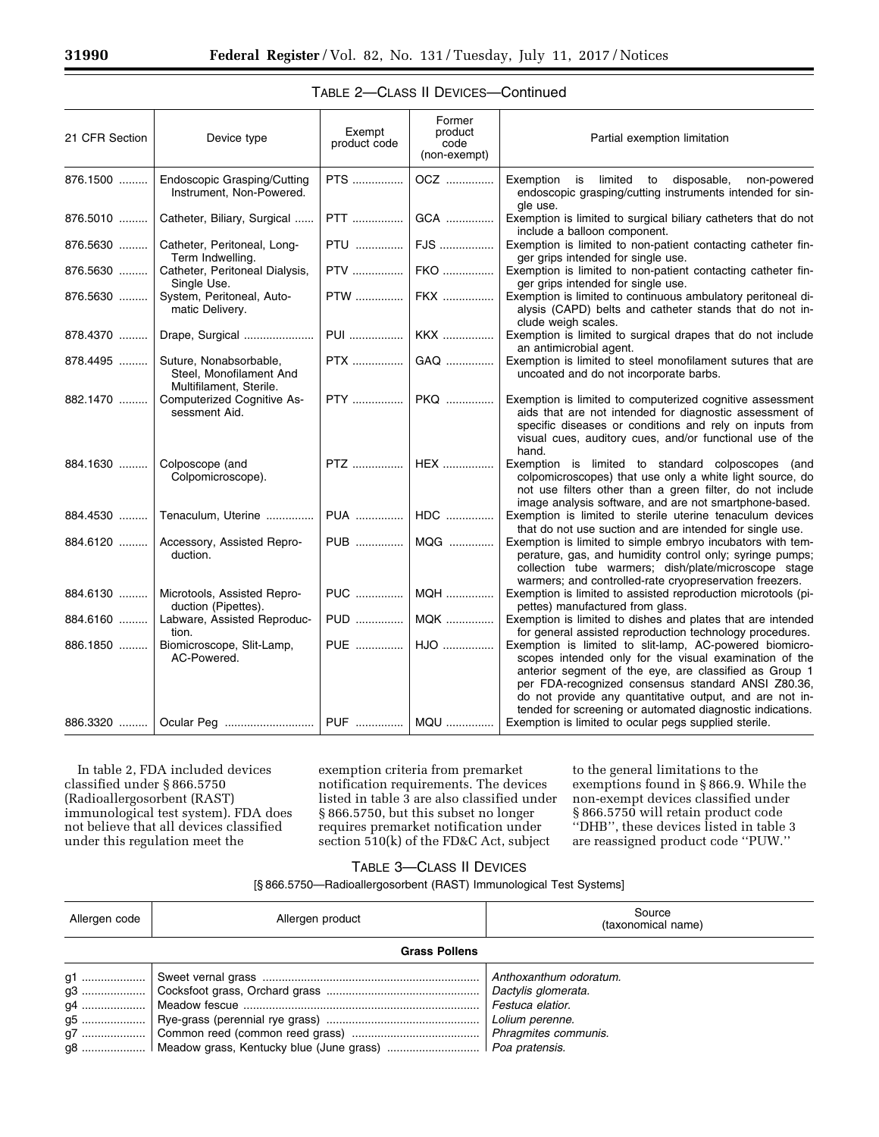| 21 CFR Section | Device type                                                                      | Exempt<br>product code | Former<br>product<br>code<br>(non-exempt) | Partial exemption limitation                                                                                                                                                                                                                                                                                                                              |
|----------------|----------------------------------------------------------------------------------|------------------------|-------------------------------------------|-----------------------------------------------------------------------------------------------------------------------------------------------------------------------------------------------------------------------------------------------------------------------------------------------------------------------------------------------------------|
| 876.1500       | <b>Endoscopic Grasping/Cutting</b><br>Instrument, Non-Powered.                   | PTS                    | OCZ                                       | Exemption is limited to disposable, non-powered<br>endoscopic grasping/cutting instruments intended for sin-<br>ale use.                                                                                                                                                                                                                                  |
| 876.5010       | Catheter, Biliary, Surgical                                                      |                        | GCA                                       | Exemption is limited to surgical biliary catheters that do not<br>include a balloon component.                                                                                                                                                                                                                                                            |
| 876.5630       | Catheter, Peritoneal, Long-<br>Term Indwelling.                                  | <b>PTU</b>             | FJS                                       | Exemption is limited to non-patient contacting catheter fin-<br>ger grips intended for single use.                                                                                                                                                                                                                                                        |
| 876.5630       | Catheter, Peritoneal Dialysis,<br>Single Use.                                    |                        | PTV    FKO                                | Exemption is limited to non-patient contacting catheter fin-<br>ger grips intended for single use.                                                                                                                                                                                                                                                        |
| 876.5630       | System, Peritoneal, Auto-<br>matic Delivery.                                     |                        | PTW  FKX                                  | Exemption is limited to continuous ambulatory peritoneal di-<br>alysis (CAPD) belts and catheter stands that do not in-<br>clude weigh scales.                                                                                                                                                                                                            |
| 878.4370       | Drape, Surgical                                                                  |                        |                                           | Exemption is limited to surgical drapes that do not include<br>an antimicrobial agent.                                                                                                                                                                                                                                                                    |
| 878.4495       | Suture, Nonabsorbable,<br>Steel, Monofilament And<br>Multifilament, Sterile.     |                        | PTX    GAQ                                | Exemption is limited to steel monofilament sutures that are<br>uncoated and do not incorporate barbs.                                                                                                                                                                                                                                                     |
| 882.1470       | <b>Computerized Cognitive As-</b><br>sessment Aid.                               |                        | PTY    PKQ                                | Exemption is limited to computerized cognitive assessment<br>aids that are not intended for diagnostic assessment of<br>specific diseases or conditions and rely on inputs from<br>visual cues, auditory cues, and/or functional use of the<br>hand.                                                                                                      |
| 884.1630       | Colposcope (and<br>Colpomicroscope).                                             |                        | PTZ    HEX                                | Exemption is limited to standard colposcopes (and<br>colpomicroscopes) that use only a white light source, do<br>not use filters other than a green filter, do not include<br>image analysis software, and are not smartphone-based.                                                                                                                      |
| 884.4530       | Tenaculum, Uterine                                                               |                        | PUA    HDC                                | Exemption is limited to sterile uterine tenaculum devices<br>that do not use suction and are intended for single use.                                                                                                                                                                                                                                     |
| 884.6120       | Accessory, Assisted Repro-<br>duction.                                           |                        | PUB    MQG                                | Exemption is limited to simple embryo incubators with tem-<br>perature, gas, and humidity control only; syringe pumps;<br>collection tube warmers; dish/plate/microscope stage<br>warmers; and controlled-rate cryopreservation freezers.                                                                                                                 |
| 884.6130       | Microtools, Assisted Repro-<br>duction (Pipettes).                               |                        | PUC    MQH                                | Exemption is limited to assisted reproduction microtools (pi-<br>pettes) manufactured from glass.                                                                                                                                                                                                                                                         |
| 884.6160       | Labware, Assisted Reproduc-<br>tion.                                             |                        | PUD    MQK                                | Exemption is limited to dishes and plates that are intended<br>for general assisted reproduction technology procedures.                                                                                                                                                                                                                                   |
| 886.1850       | Biomicroscope, Slit-Lamp,<br>AC-Powered.<br>886.3320    Ocular Peg    PUF    MQU |                        | PUE    HJO                                | Exemption is limited to slit-lamp, AC-powered biomicro-<br>scopes intended only for the visual examination of the<br>anterior segment of the eye, are classified as Group 1<br>per FDA-recognized consensus standard ANSI Z80.36,<br>do not provide any quantitative output, and are not in-<br>tended for screening or automated diagnostic indications. |
|                |                                                                                  |                        |                                           | Exemption is limited to ocular pegs supplied sterile.                                                                                                                                                                                                                                                                                                     |

### TABLE 2—CLASS II DEVICES—Continued

In table 2, FDA included devices classified under § 866.5750 (Radioallergosorbent (RAST) immunological test system). FDA does not believe that all devices classified under this regulation meet the

exemption criteria from premarket notification requirements. The devices listed in table 3 are also classified under § 866.5750, but this subset no longer requires premarket notification under section 510(k) of the FD&C Act, subject

to the general limitations to the exemptions found in § 866.9. While the non-exempt devices classified under § 866.5750 will retain product code ''DHB'', these devices listed in table 3 are reassigned product code ''PUW.''

## TABLE 3—CLASS II DEVICES

| Allergen code        | Allergen product                                                 | Source<br>(taxonomical name)                               |  |
|----------------------|------------------------------------------------------------------|------------------------------------------------------------|--|
| <b>Grass Pollens</b> |                                                                  |                                                            |  |
|                      |                                                                  | Dactylis glomerata.<br>Festuca elatior.<br>Lolium perenne. |  |
|                      | g8    Meadow grass, Kentucky blue (June grass)    Poa pratensis. |                                                            |  |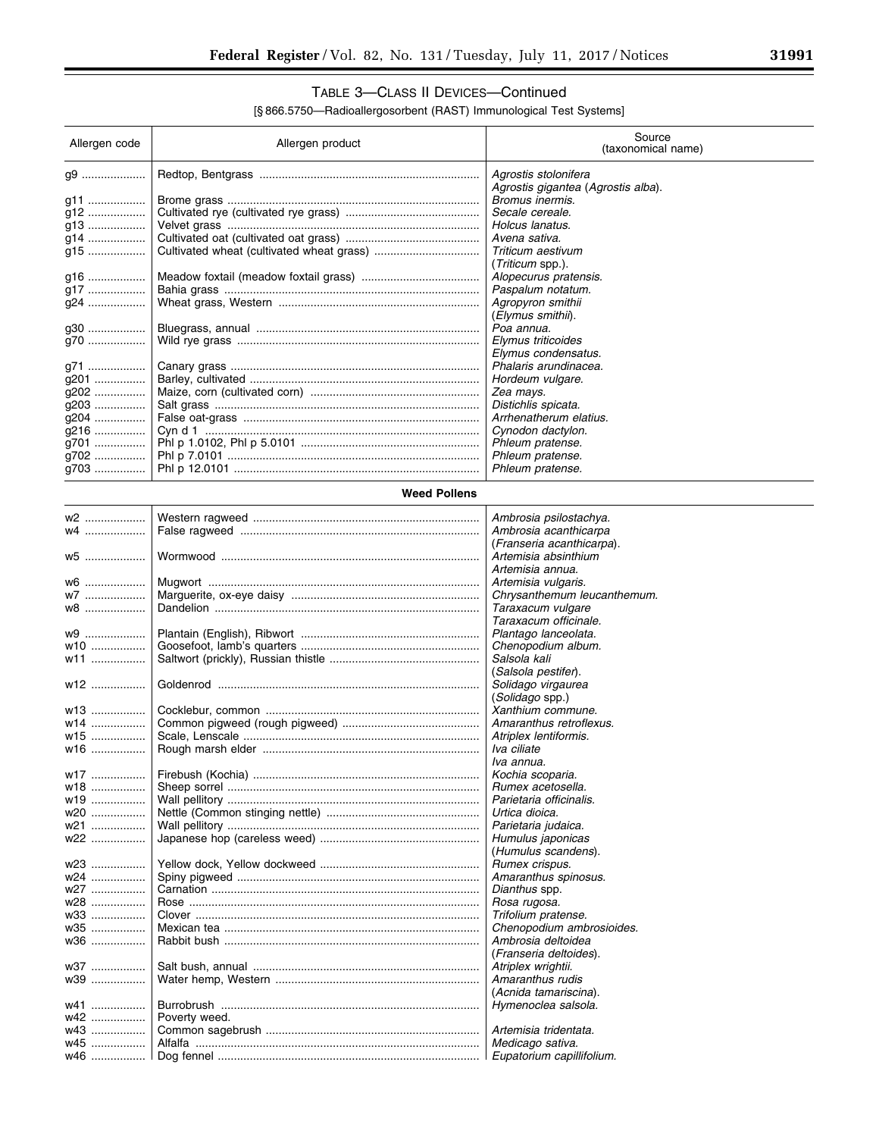٠

# TABLE 3—CLASS II DEVICES—Continued

| Allergen code | Allergen product    | Source<br>(taxonomical name)       |
|---------------|---------------------|------------------------------------|
| q9            |                     | Agrostis stolonifera               |
|               |                     | Agrostis gigantea (Agrostis alba). |
| g11           |                     | Bromus inermis.                    |
| g12           |                     | Secale cereale.                    |
| q13           |                     | Holcus lanatus.                    |
| g14           |                     | Avena sativa.                      |
| q15           |                     | Triticum aestivum                  |
|               |                     | (Triticum spp.).                   |
| g16           |                     | Alopecurus pratensis.              |
| g17           |                     | Paspalum notatum.                  |
| q24           |                     | Agropyron smithii                  |
|               |                     | (Elymus smithii).                  |
| g30           |                     | Poa annua.                         |
| q70           |                     | Elymus triticoides                 |
|               |                     | Elymus condensatus.                |
| g71           |                     | Phalaris arundinacea.              |
| g201          |                     | Hordeum vulgare.                   |
| g202          |                     | Zea mays.                          |
| g203          |                     | Distichlis spicata.                |
| g204          |                     | Arrhenatherum elatius.             |
| g216          |                     | Cynodon dactylon.                  |
| g701          |                     | Phleum pratense.                   |
| g702          |                     | Phleum pratense.                   |
| g703          |                     | Phleum pratense.                   |
|               | <b>Weed Pollens</b> |                                    |
| w2            |                     | Ambrosia psilostachya.             |
| w4            |                     | Ambrosia acanthicarpa              |
|               |                     | (Franseria acanthicarpa).          |
| w5            |                     | Artemisia absinthium               |
|               |                     | Artemisia annua.                   |
| w6            |                     | Artemisia vulgaris.                |
| w7            |                     | Chrysanthemum leucanthemum.        |
| w8            |                     | Taraxacum vulgare                  |
|               |                     | Taraxacum officinale.              |
| w9            |                     | Plantago lanceolata.               |
| w10           |                     | Chenopodium album.                 |
| w11           |                     | Salsola kali                       |
|               |                     | (Salsola pestifer).                |

| $WZ$            |               | Chrysanthemum leucanthemum. |
|-----------------|---------------|-----------------------------|
| w8              |               | Taraxacum vulgare           |
|                 |               | Taraxacum officinale.       |
| w9              |               | Plantago lanceolata.        |
| w <sub>10</sub> |               | Chenopodium album.          |
| w11             |               | Salsola kali                |
|                 |               | (Salsola pestifer).         |
| w12             |               | Solidago virgaurea          |
|                 |               | (Solidago spp.)             |
| w13             |               | Xanthium commune.           |
| w14             |               | Amaranthus retroflexus.     |
| w15             |               | Atriplex lentiformis.       |
| w16             |               | Iva ciliate                 |
|                 |               | Iva annua.                  |
| w17             |               | Kochia scoparia.            |
| w <sub>18</sub> |               | Rumex acetosella.           |
| w19             |               | Parietaria officinalis.     |
| w20             |               | Urtica dioica.              |
| w21             |               | Parietaria judaica.         |
| w22             |               | Humulus japonicas           |
|                 |               | (Humulus scandens).         |
| w <sub>23</sub> |               | Rumex crispus.              |
| w24             |               | Amaranthus spinosus.        |
| w27             |               | Dianthus spp.               |
| w28             |               | Rosa rugosa.                |
| w33             |               | Trifolium pratense.         |
| w35             |               | Chenopodium ambrosioides.   |
| w36             |               | Ambrosia deltoidea          |
|                 |               | (Franseria deltoides).      |
| w37             |               | Atriplex wrightii.          |
| w39             |               | Amaranthus rudis            |
|                 |               | (Acnida tamariscina).       |
| w41             |               | Hymenoclea salsola.         |
| w42             | Poverty weed. |                             |
| w43             |               | Artemisia tridentata.       |
| w45             |               | Medicago sativa.            |
| w46             |               |                             |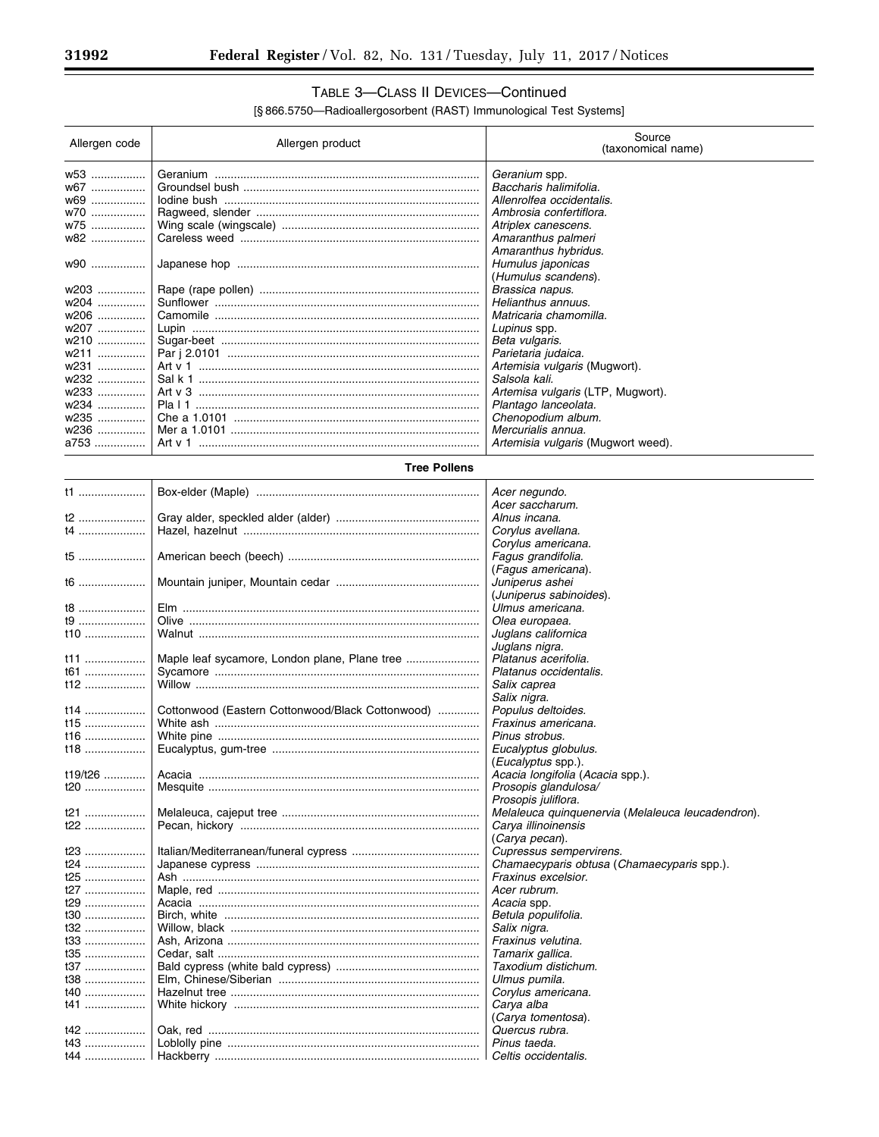۳

# TABLE 3—CLASS II DEVICES—Continued

[§ 866.5750—Radioallergosorbent (RAST) Immunological Test Systems]

| Allergen code                             | Allergen product | Source<br>(taxonomical name)                                                                                                                                         |
|-------------------------------------------|------------------|----------------------------------------------------------------------------------------------------------------------------------------------------------------------|
| w53<br>w67<br>w69<br>w70<br>w75   <br>w82 |                  | Geranium spp.<br>Baccharis halimifolia.<br>Allenrolfea occidentalis.<br>Ambrosia confertiflora.<br>Atriplex canescens.<br>Amaranthus palmeri<br>Amaranthus hybridus. |
| w90<br>w203                               |                  | Humulus japonicas<br>(Humulus scandens).<br>Brassica napus.                                                                                                          |
| w204                                      |                  | Helianthus annuus.                                                                                                                                                   |
| w206                                      |                  | Matricaria chamomilla.                                                                                                                                               |
| w207                                      |                  | Lupinus spp.                                                                                                                                                         |
| w210                                      |                  | Beta vulgaris.                                                                                                                                                       |
| w211                                      |                  | Parietaria judaica.                                                                                                                                                  |
| w231                                      |                  | Artemisia vulgaris (Mugwort).                                                                                                                                        |
| w232                                      |                  | Salsola kali.                                                                                                                                                        |
| w233                                      |                  | Artemisa vulgaris (LTP, Mugwort).                                                                                                                                    |
| w234                                      |                  | Plantago lanceolata.                                                                                                                                                 |
| w235                                      |                  | Chenopodium album.                                                                                                                                                   |
| w236                                      |                  | Mercurialis annua.                                                                                                                                                   |
| a753                                      |                  | Artemisia vulgaris (Mugwort weed).                                                                                                                                   |

## **Tree Pollens**

| t1      |                                                  | Acer negundo.                                     |
|---------|--------------------------------------------------|---------------------------------------------------|
|         |                                                  | Acer saccharum.                                   |
| t2      |                                                  | Alnus incana.                                     |
| t4      |                                                  | Corylus avellana.                                 |
|         |                                                  | Corylus americana.                                |
| t5      |                                                  | Fagus grandifolia.                                |
|         |                                                  | (Fagus americana).                                |
| $16$    |                                                  | Juniperus ashei                                   |
|         |                                                  | (Juniperus sabinoides).                           |
| $t8$    |                                                  | Ulmus americana.                                  |
| t9      |                                                  | Olea europaea.                                    |
| t10     |                                                  | Juglans californica                               |
|         |                                                  | Juglans nigra.                                    |
| t11     |                                                  | Platanus acerifolia.                              |
| t61     |                                                  | Platanus occidentalis.                            |
| $112$   |                                                  | Salix caprea                                      |
|         |                                                  | Salix nigra.                                      |
|         | Cottonwood (Eastern Cottonwood/Black Cottonwood) | Populus deltoides.                                |
| t14     |                                                  |                                                   |
| $t15$   |                                                  | Fraxinus americana.                               |
| t16     |                                                  | Pinus strobus.                                    |
| t18     |                                                  | Eucalyptus globulus.                              |
|         |                                                  | ( <i>Eucalyptus</i> spp.).                        |
| t19/t26 |                                                  | Acacia longifolia (Acacia spp.).                  |
| t20     |                                                  | Prosopis glandulosa/                              |
|         |                                                  | Prosopis juliflora.                               |
| t21     |                                                  | Melaleuca quinquenervia (Melaleuca leucadendron). |
| t22     |                                                  | Carya illinoinensis                               |
|         |                                                  | (Carya pecan).                                    |
| t23     |                                                  | Cupressus sempervirens.                           |
| t24     |                                                  | Chamaecyparis obtusa (Chamaecyparis spp.).        |
| t25     |                                                  | Fraxinus excelsior.                               |
| t27     |                                                  | Acer rubrum.                                      |
| t29     |                                                  | Acacia spp.                                       |
| $t30$   |                                                  | Betula populifolia.                               |
| t32     |                                                  | Salix nigra.                                      |
| $t33$   |                                                  | Fraxinus velutina.                                |
| $t35$   |                                                  | Tamarix gallica.                                  |
| t37     |                                                  | Taxodium distichum.                               |
| $t38$   |                                                  | Ulmus pumila.                                     |
| t40     |                                                  | Corylus americana.                                |
| t41     |                                                  | Carya alba                                        |
|         |                                                  | (Carya tomentosa).                                |
| t42     |                                                  | Quercus rubra.                                    |
| $t43$   |                                                  | Pinus taeda.                                      |
|         |                                                  | Celtis occidentalis.                              |
|         |                                                  |                                                   |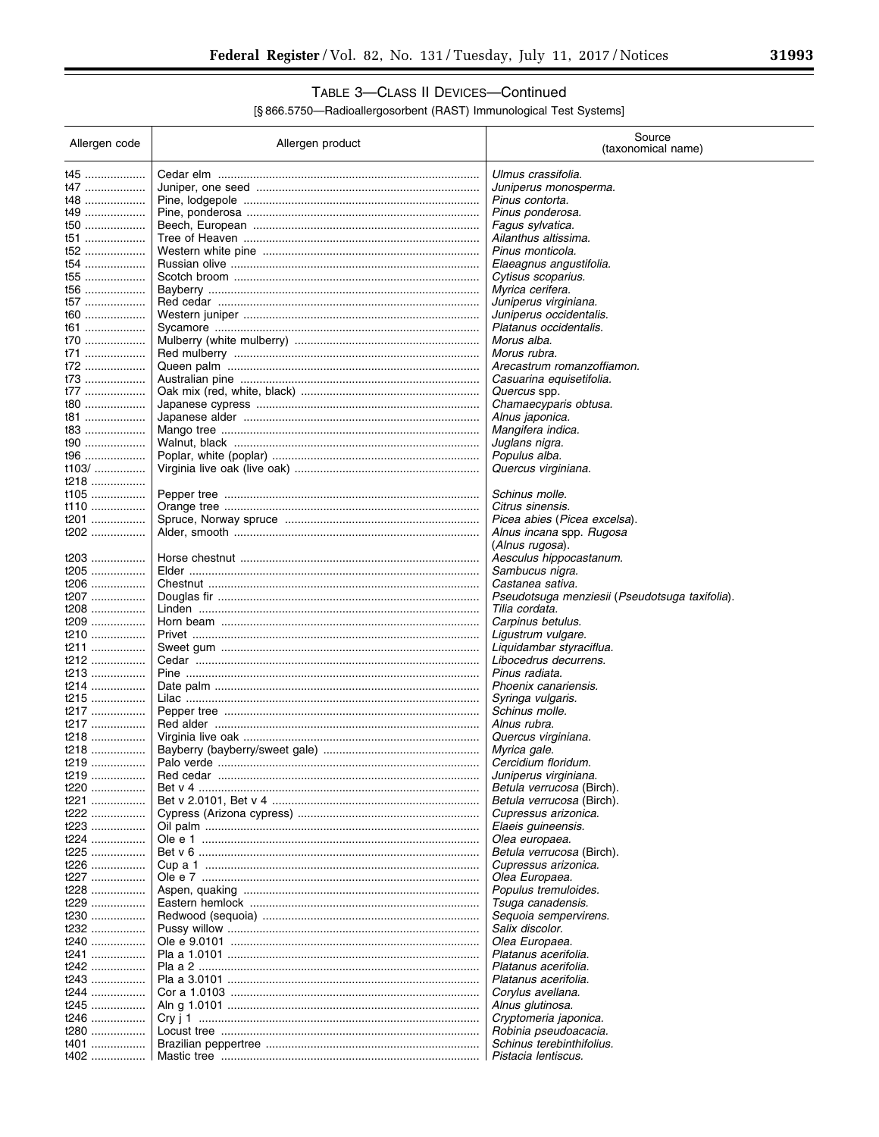# TABLE 3-CLASS II DEVICES-Continued

| Allergen code | Allergen product | Source<br>(taxonomical name)                                     |
|---------------|------------------|------------------------------------------------------------------|
|               |                  |                                                                  |
| t45<br>t47    |                  | Ulmus crassifolia.<br>Juniperus monosperma.                      |
| t48           |                  | Pinus contorta.                                                  |
| t49           |                  | Pinus ponderosa.                                                 |
| t50           |                  | Fagus sylvatica.                                                 |
| t51           |                  | Ailanthus altissima.                                             |
| t52           |                  | Pinus monticola.                                                 |
| t54<br>t55    |                  | Elaeagnus angustifolia.<br>Cytisus scoparius.                    |
| t56           |                  | Myrica cerifera.                                                 |
| t57           |                  | Juniperus virginiana.                                            |
| t60           |                  | Juniperus occidentalis.                                          |
| t61           |                  | Platanus occidentalis.                                           |
| t70<br>t71    |                  | Morus alba.<br>Morus rubra.                                      |
| t72           |                  | Arecastrum romanzoffiamon.                                       |
| t73           |                  | Casuarina equisetifolia.                                         |
| t77           |                  | Quercus spp.                                                     |
| t80           |                  | Chamaecyparis obtusa.                                            |
| t81<br>t83    |                  | Alnus japonica.<br>Mangifera indica.                             |
| t90           |                  | Juglans nigra.                                                   |
| t96           |                  | Populus alba.                                                    |
| t103/         |                  | Quercus virginiana.                                              |
| t218          |                  |                                                                  |
| t105          |                  | Schinus molle.                                                   |
| t110<br>t201  |                  | Citrus sinensis.<br>Picea abies (Picea excelsa).                 |
| t202          |                  | Alnus incana spp. Rugosa                                         |
|               |                  | (Alnus rugosa).                                                  |
| t203          |                  | Aesculus hippocastanum.                                          |
| t205          |                  | Sambucus nigra.                                                  |
| t206          |                  | Castanea sativa.                                                 |
| t207<br>t208  |                  | Pseudotsuga menziesii (Pseudotsuga taxifolia).<br>Tilia cordata. |
| t209          |                  | Carpinus betulus.                                                |
| t210          |                  | Ligustrum vulgare.                                               |
| t211          |                  | Liquidambar styraciflua.                                         |
| t212          |                  | Libocedrus decurrens.                                            |
| t213<br>t214  |                  | Pinus radiata.<br>Phoenix canariensis.                           |
| t215          |                  | Syringa vulgaris.                                                |
| t217          |                  | Schinus molle.                                                   |
| t217          |                  | Alnus rubra.                                                     |
| t218          |                  | Quercus virginiana.                                              |
| t218<br>t219  |                  | Myrica gale.<br>Cercidium floridum.                              |
| t219.<br>     |                  | Juniperus virginiana.                                            |
| t220          |                  | <i>Betula verrucosa</i> (Birch).                                 |
| t221          |                  | <i>Betula verrucosa</i> (Birch).                                 |
| t222          |                  | Cupressus arizonica.                                             |
| t223          |                  | Elaeis guineensis.                                               |
| t224<br>t225  |                  | Olea europaea.<br>Betula verrucosa (Birch).                      |
| t226          |                  | Cupressus arizonica.                                             |
| t227          |                  | Olea Europaea.                                                   |
| t228          |                  | Populus tremuloides.                                             |
| t229          |                  | Tsuga canadensis.                                                |
| t230<br>t232  |                  | Sequoia sempervirens.<br>Salix discolor.                         |
| t240          |                  | Olea Europaea.                                                   |
| t241          |                  | Platanus acerifolia.                                             |
| t242          |                  | Platanus acerifolia.                                             |
| t243          |                  | Platanus acerifolia.                                             |
| t244          |                  | Corylus avellana.                                                |
| t245<br>t246  |                  | Alnus glutinosa.<br>Cryptomeria japonica.                        |
| t280          |                  | Robinia pseudoacacia.                                            |
| t401          |                  | Schinus terebinthifolius.                                        |
| t402          |                  | Pistacia lentiscus.                                              |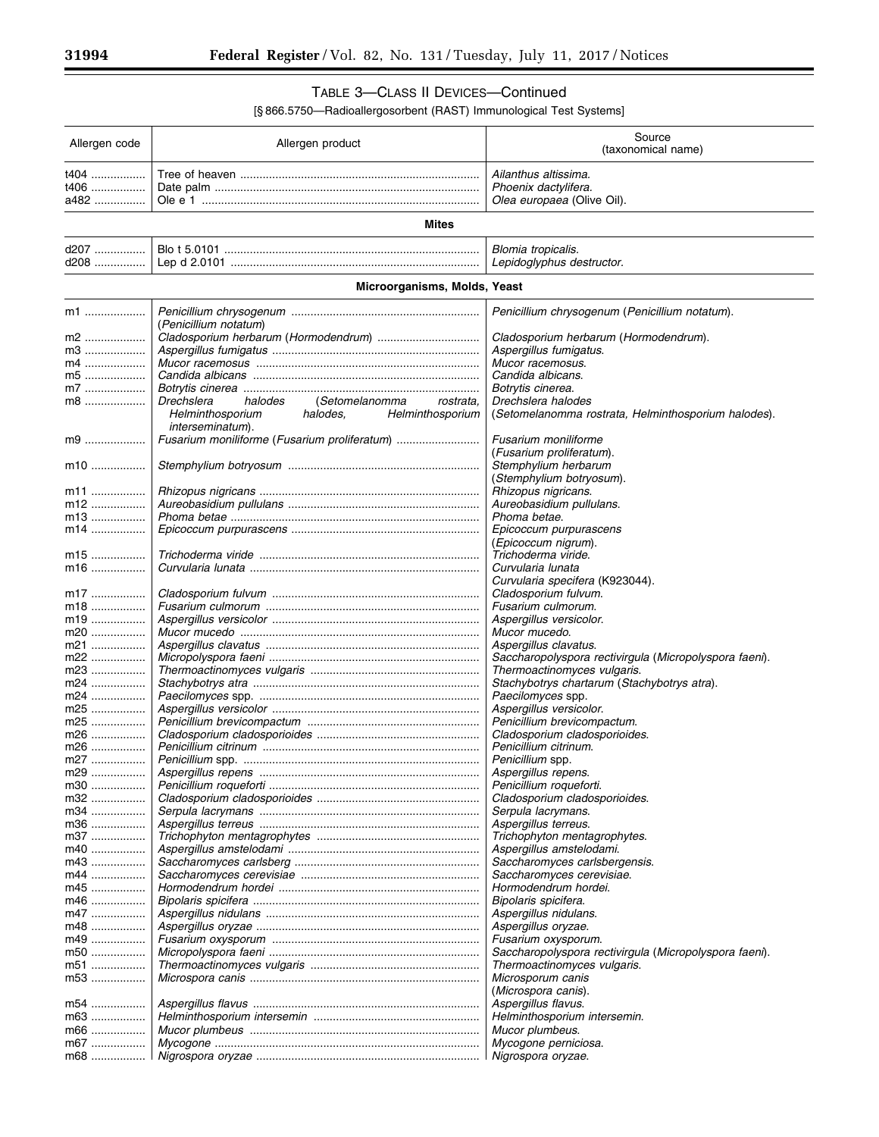۳

## TABLE 3—CLASS II DEVICES—Continued

| Allergen code | Allergen product                                     | Source<br>(taxonomical name)                                 |
|---------------|------------------------------------------------------|--------------------------------------------------------------|
| t404          |                                                      | Ailanthus altissima.                                         |
| t406          |                                                      | Phoenix dactylifera.                                         |
| a482          |                                                      | Olea europaea (Olive Oil).                                   |
|               | Mites                                                |                                                              |
| d207          |                                                      | Blomia tropicalis.                                           |
| d208 ……………    |                                                      | Lepidoglyphus destructor.                                    |
|               | Microorganisms, Molds, Yeast                         |                                                              |
|               |                                                      |                                                              |
| m1            | (Penicillium notatum)                                | Penicillium chrysogenum (Penicillium notatum).               |
| m2            |                                                      | Cladosporium herbarum (Hormodendrum).                        |
| m3            |                                                      | Aspergillus fumigatus.                                       |
| m4            |                                                      | Mucor racemosus.                                             |
| m5            |                                                      | Candida albicans.                                            |
| m7            |                                                      | Botrytis cinerea.                                            |
| m8            | Drechslera<br>halodes<br>(Setomelanomma<br>rostrata, | Drechslera halodes                                           |
|               | Helminthosporium<br>halodes,<br>Helminthosporium     | (Setomelanomma rostrata, Helminthosporium halodes).          |
| m9            | <i>interseminatum</i> ).                             | <b>Fusarium moniliforme</b>                                  |
|               |                                                      | (Fusarium proliferatum).                                     |
| m10           |                                                      | Stemphylium herbarum                                         |
|               |                                                      | (Stemphylium botryosum).                                     |
| m11           |                                                      | Rhizopus nigricans.                                          |
| m12           |                                                      | Aureobasidium pullulans.                                     |
| m13           |                                                      | Phoma betae.                                                 |
| m14           |                                                      | Epicoccum purpurascens                                       |
|               |                                                      | (Epicoccum nigrum).                                          |
| m15           |                                                      | Trichoderma viride.                                          |
| m16           |                                                      | Curvularia lunata                                            |
| m17           |                                                      | Curvularia specifera (K923044).                              |
| m18           |                                                      | Cladosporium fulvum.<br>Fusarium culmorum.                   |
| m19           |                                                      | Aspergillus versicolor.                                      |
| m20           |                                                      | Mucor mucedo.                                                |
| m21           |                                                      | Aspergillus clavatus.                                        |
| m22           |                                                      | Saccharopolyspora rectivirgula (Micropolyspora faeni).       |
| m23           |                                                      | Thermoactinomyces vulgaris.                                  |
| m24           |                                                      | Stachybotrys chartarum (Stachybotrys atra).                  |
| m24           |                                                      | Paecilomyces spp.                                            |
| m25           |                                                      | Aspergillus versicolor.                                      |
| m25<br>m26    |                                                      | Penicillium brevicompactum.<br>Cladosporium cladosporioides. |
| m26           |                                                      | Penicillium citrinum.                                        |
| m27           |                                                      | Penicillium spp.                                             |
| m29           |                                                      | Aspergillus repens.                                          |
| m30           |                                                      | Penicillium roqueforti.                                      |
| m32           |                                                      | Cladosporium cladosporioides.                                |
| m34           |                                                      | Serpula lacrymans.                                           |
| m36           |                                                      | Aspergillus terreus.                                         |
| m37<br>m40    |                                                      | Trichophyton mentagrophytes.                                 |
| m43           |                                                      | Aspergillus amstelodami.<br>Saccharomyces carlsbergensis.    |
| m44           |                                                      | Saccharomyces cerevisiae.                                    |
| m45           |                                                      | Hormodendrum hordei.                                         |
| m46           |                                                      | Bipolaris spicifera.                                         |
| m47           |                                                      | Aspergillus nidulans.                                        |
| m48           |                                                      | Aspergillus oryzae.                                          |
| m49           |                                                      | Fusarium oxysporum.                                          |
| m50           |                                                      | Saccharopolyspora rectivirgula (Micropolyspora faeni).       |
| m51           |                                                      | Thermoactinomyces vulgaris.                                  |
| m53           |                                                      | Microsporum canis                                            |
|               |                                                      | (Microspora canis).                                          |
| m54<br>m63    |                                                      | Aspergillus flavus.<br>Helminthosporium intersemin.          |
| m66           |                                                      | Mucor plumbeus.                                              |
| m67           |                                                      | Mycogone perniciosa.                                         |
| m68           |                                                      | Nigrospora oryzae.                                           |
|               |                                                      |                                                              |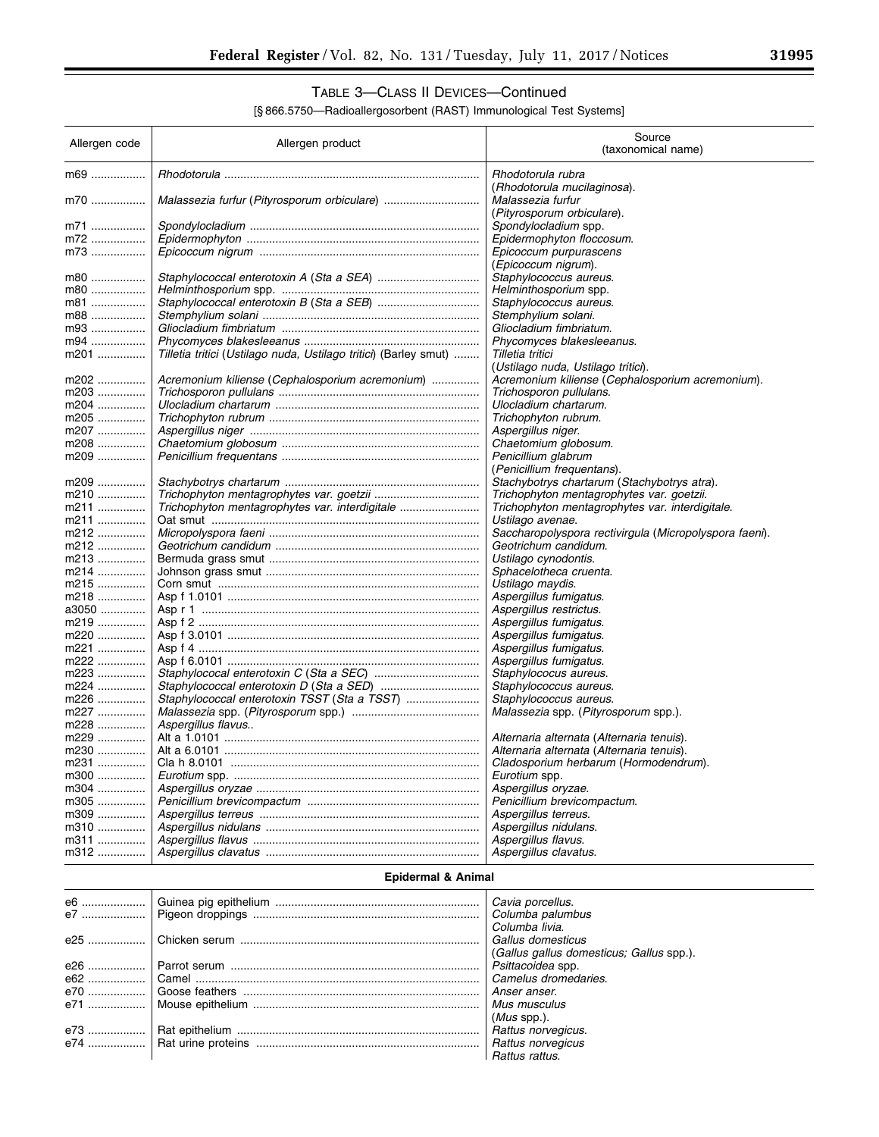# TABLE 3—CLASS II DEVICES—Continued

[§ 866.5750—Radioallergosorbent (RAST) Immunological Test Systems]

| Allergen code | Allergen product                                                 | Source<br>(taxonomical name)                           |
|---------------|------------------------------------------------------------------|--------------------------------------------------------|
| m69           |                                                                  | Rhodotorula rubra<br>(Rhodotorula mucilaginosa).       |
| m70           |                                                                  | Malassezia furfur<br>(Pityrosporum orbiculare).        |
| m71           |                                                                  | <i>Spondylocladium</i> spp.                            |
| m72           |                                                                  | Epidermophyton floccosum.                              |
| m73           |                                                                  | Epicoccum purpurascens                                 |
|               |                                                                  | (Epicoccum nigrum).                                    |
| m80           |                                                                  | Staphylococcus aureus.                                 |
| m80           |                                                                  | Helminthosporium spp.                                  |
| m81           |                                                                  | Staphylococcus aureus.                                 |
| m88           |                                                                  | Stemphylium solani.                                    |
| m93           |                                                                  | Gliocladium fimbriatum.                                |
| m94           |                                                                  | Phycomyces blakesleeanus.                              |
| m201          | Tilletia tritici (Ustilago nuda, Ustilago tritici) (Barley smut) | Tilletia tritici                                       |
|               |                                                                  | (Ustilago nuda, Ustilago tritici).                     |
| m202          | Acremonium kiliense (Cephalosporium acremonium)                  | Acremonium kiliense (Cephalosporium acremonium).       |
| m203          |                                                                  | Trichosporon pullulans.                                |
| m204          |                                                                  | Ulocladium chartarum.                                  |
| m205          |                                                                  | Trichophyton rubrum.                                   |
| m207          |                                                                  | Aspergillus niger.                                     |
| m208          |                                                                  | Chaetomium globosum.                                   |
| m209          |                                                                  | Penicillium glabrum<br>(Penicillium frequentans).      |
| m209          |                                                                  | Stachybotrys chartarum (Stachybotrys atra).            |
| m210          |                                                                  | Trichophyton mentagrophytes var. goetzii.              |
| m211          | Trichophyton mentagrophytes var. interdigitale                   | Trichophyton mentagrophytes var. interdigitale.        |
| m211          |                                                                  | Ustilago avenae.                                       |
| m212          |                                                                  | Saccharopolyspora rectivirgula (Micropolyspora faeni). |
| m212          |                                                                  | Geotrichum candidum.                                   |
| m213          |                                                                  | Ustilago cynodontis.                                   |
| m214          |                                                                  | Sphacelotheca cruenta.                                 |
| m215          |                                                                  | Ustilago maydis.                                       |
| m218          |                                                                  | Aspergillus fumigatus.                                 |
| a3050         |                                                                  | Aspergillus restrictus.                                |
| m219          |                                                                  | Aspergillus fumigatus.                                 |
| m220          |                                                                  | Aspergillus fumigatus.                                 |
| m221          |                                                                  | Aspergillus fumigatus.                                 |
| m222          |                                                                  | Aspergillus fumigatus.                                 |
| m223          |                                                                  | Staphylococus aureus.                                  |
| m224          |                                                                  | Staphylococcus aureus.                                 |
| m226          |                                                                  | Staphylococcus aureus.                                 |
| m227          |                                                                  | Malassezia spp. (Pityrosporum spp.).                   |
| m228          | Aspergillus flavus                                               |                                                        |
| m229          |                                                                  | Alternaria alternata (Alternaria tenuis).              |
| m230          |                                                                  | Alternaria alternata (Alternaria tenuis).              |
| m231          |                                                                  | Cladosporium herbarum (Hormodendrum).                  |
| m300          |                                                                  | Eurotium spp.                                          |
| m304          |                                                                  | Aspergillus oryzae.                                    |
| m305          |                                                                  | Penicillium brevicompactum.                            |
| m309<br>m310  |                                                                  | Aspergillus terreus.<br>Aspergillus nidulans.          |
| m311          |                                                                  | Aspergillus flavus.                                    |
| m312          |                                                                  | Aspergillus clavatus.                                  |
|               | Epidermal & Animal                                               |                                                        |
| e6            |                                                                  | Cavia porcellus.                                       |
| e7            |                                                                  | Columba palumbus                                       |
|               |                                                                  | Columba livia.                                         |
| e25           |                                                                  | Gallus domesticus                                      |
|               |                                                                  | (Gallus gallus domesticus; Gallus spp.).               |
| e26           |                                                                  | Psittacoidea spp.                                      |

(*Mus* spp.).

*Rattus rattus*.

e26 .................. Parrot serum .............................................................................. *Psittacoidea* spp. e62 .................. Camel ......................................................................................... *Camelus dromedaries*. e70 .................. Goose feathers .......................................................................... *Anser anser*. e71 .................. Mouse epithelium ....................................................................... *Mus musculus* 

e73 .................. Rat epithelium ............................................................................ *Rattus norvegicus*.

e74 .................. Rat urine proteins ...................................................................... *Rattus norvegicus*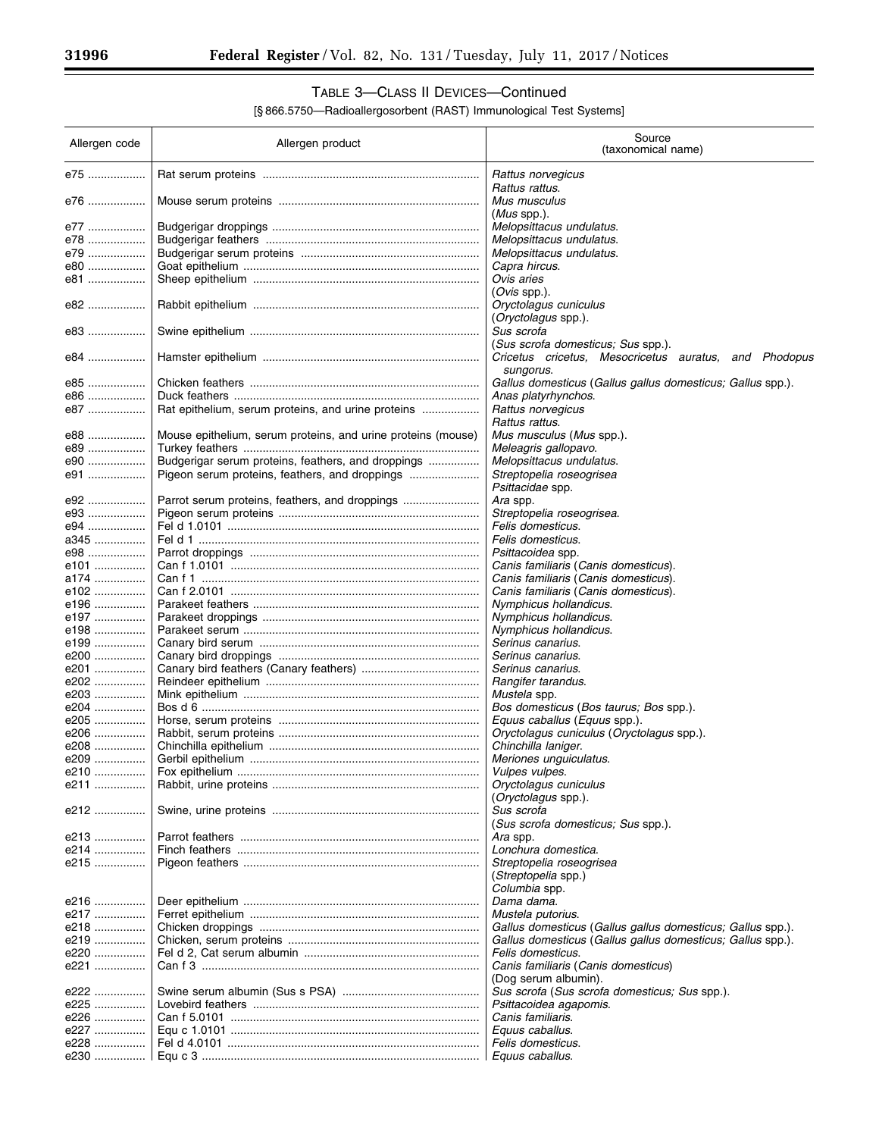۳

# TABLE 3—CLASS II DEVICES—Continued

| Allergen code | Allergen product                                             | Source<br>(taxonomical name)                                |
|---------------|--------------------------------------------------------------|-------------------------------------------------------------|
| e75           |                                                              | Rattus norvegicus<br>Rattus rattus.                         |
| е76           |                                                              | Mus musculus<br>$(Mus$ spp.).                               |
| e77           |                                                              | Melopsittacus undulatus.                                    |
| e78           |                                                              | Melopsittacus undulatus.                                    |
| e79           |                                                              | Melopsittacus undulatus.                                    |
| e80           |                                                              | Capra hircus.                                               |
| e81           |                                                              | Ovis aries                                                  |
|               |                                                              | (Ovis spp.).                                                |
| e82           |                                                              | Oryctolagus cuniculus<br>(Oryctolagus spp.).                |
| e83           |                                                              | Sus scrofa<br>(Sus scrofa domesticus; Sus spp.).            |
| e84           |                                                              | Cricetus cricetus, Mesocricetus auratus, and Phodopus       |
|               |                                                              | sungorus.                                                   |
| e85           |                                                              | Gallus domesticus (Gallus gallus domesticus; Gallus spp.).  |
| e86           |                                                              | Anas platyrhynchos.                                         |
| e87           | Rat epithelium, serum proteins, and urine proteins           | Rattus norvegicus<br>Rattus rattus.                         |
| e88           | Mouse epithelium, serum proteins, and urine proteins (mouse) | Mus musculus (Mus spp.).                                    |
| e89           |                                                              | Meleagris gallopavo.                                        |
| e90           | Budgerigar serum proteins, feathers, and droppings           | Melopsittacus undulatus.                                    |
| e91           | Pigeon serum proteins, feathers, and droppings               | Streptopelia roseogrisea                                    |
|               |                                                              | Psittacidae spp.                                            |
| e92           | Parrot serum proteins, feathers, and droppings               | Ara spp.                                                    |
| e93           |                                                              | Streptopelia roseogrisea.                                   |
| e94           |                                                              | Felis domesticus.                                           |
| a345          |                                                              | Felis domesticus.                                           |
| e98           |                                                              | <i>Psittacoidea</i> spp.                                    |
| e101          |                                                              | Canis familiaris (Canis domesticus).                        |
| a174          |                                                              | Canis familiaris (Canis domesticus).                        |
| e102          |                                                              | Canis familiaris (Canis domesticus).                        |
| e196          |                                                              | Nymphicus hollandicus.                                      |
| e197          |                                                              | Nymphicus hollandicus.                                      |
| e198          |                                                              | Nymphicus hollandicus.                                      |
| e199          |                                                              | Serinus canarius.                                           |
| e200          |                                                              | Serinus canarius.                                           |
| e201          |                                                              | Serinus canarius.                                           |
| e202          |                                                              | Rangifer tarandus.                                          |
| e203          |                                                              | Mustela spp.                                                |
| e204          |                                                              | Bos domesticus (Bos taurus; Bos spp.).                      |
| e205          |                                                              | Equus caballus (Equus spp.).                                |
| e206          |                                                              | Oryctolagus cuniculus (Oryctolagus spp.).                   |
| e208          |                                                              | Chinchilla laniger.                                         |
| e209          |                                                              | Meriones unquiculatus.                                      |
| e210.         | Fox epithelium                                               | Vulpes vulpes.                                              |
| e211          |                                                              | Oryctolagus cuniculus                                       |
| e212          |                                                              | (Oryctolagus spp.).<br>Sus scrofa                           |
|               |                                                              | (Sus scrofa domesticus; Sus spp.).                          |
| e213          |                                                              | Ara spp.                                                    |
| e214          |                                                              | Lonchura domestica.                                         |
| e215          |                                                              | Streptopelia roseogrisea                                    |
|               |                                                              | (Streptopelia spp.)<br>Columbia spp.                        |
| e216          |                                                              | Dama dama.                                                  |
| e217          |                                                              | Mustela putorius.                                           |
| e218          |                                                              | Gallus domesticus (Gallus gallus domesticus; Gallus spp.).  |
| e219          |                                                              | Gallus domesticus (Gallus gallus domesticus; Gallus spp.).  |
| e220          |                                                              | Felis domesticus.                                           |
| e221          |                                                              | Canis familiaris (Canis domesticus)<br>(Dog serum albumin). |
| e222          |                                                              | Sus scrofa (Sus scrofa domesticus; Sus spp.).               |
| e225          |                                                              | Psittacoidea agapomis.                                      |
| e226          |                                                              | Canis familiaris.                                           |
| e227          |                                                              |                                                             |
| e228          |                                                              | Equus caballus.                                             |
|               |                                                              | Felis domesticus.                                           |
| e230          |                                                              | Equus caballus.                                             |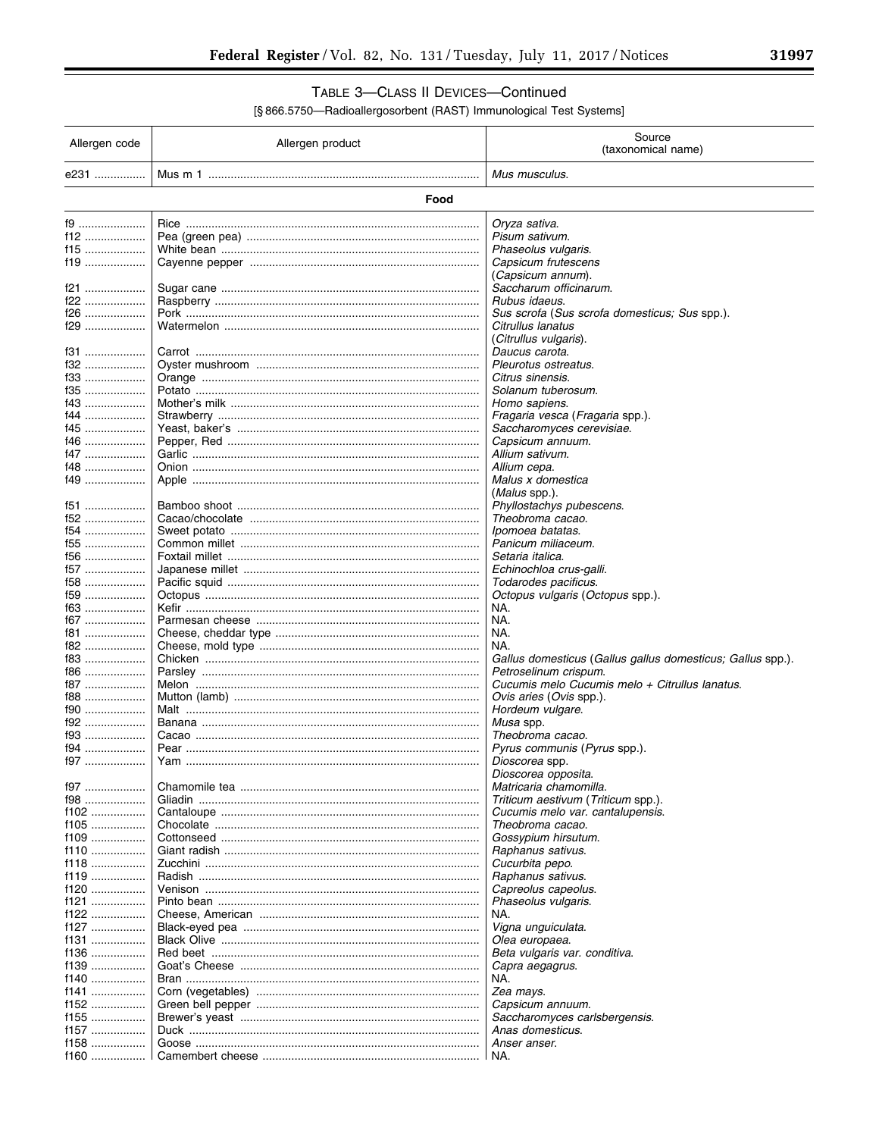# TABLE 3-CLASS II DEVICES-Continued

| Allergen code    | Allergen product                     | Source<br>(taxonomical name)                               |
|------------------|--------------------------------------|------------------------------------------------------------|
| e231             |                                      | Mus musculus.                                              |
|                  | Food                                 |                                                            |
| f9               |                                      | Oryza sativa.                                              |
| f12              |                                      | Pisum sativum.                                             |
| f15              |                                      | Phaseolus vulgaris.                                        |
| f19              |                                      | Capsicum frutescens                                        |
|                  |                                      | (Capsicum annum).                                          |
| f21              |                                      | Saccharum officinarum.                                     |
| f22              |                                      | Rubus idaeus.                                              |
| f26              |                                      | Sus scrofa (Sus scrofa domesticus; Sus spp.).              |
| f29              |                                      | Citrullus lanatus                                          |
|                  |                                      | (Citrullus vulgaris).<br>Daucus carota.                    |
| f31<br>f32       |                                      | Pleurotus ostreatus.                                       |
| f33              |                                      | Citrus sinensis.                                           |
| f35              |                                      | Solanum tuberosum.                                         |
| f43              |                                      | Homo sapiens.                                              |
| f44              |                                      | <i>Fragaria vesca</i> ( <i>Fragaria</i> spp.).             |
| f45              |                                      | Saccharomyces cerevisiae.                                  |
| f46              |                                      | Capsicum annuum.                                           |
| f47              |                                      | Allium sativum.                                            |
| f48              |                                      | Allium cepa.                                               |
| f49              |                                      | Malus x domestica                                          |
|                  |                                      | (Malus spp.).                                              |
| f51              |                                      | Phyllostachys pubescens.                                   |
| f52              |                                      | Theobroma cacao.                                           |
| f54              |                                      | Ipomoea batatas.                                           |
| f55              |                                      | Panicum miliaceum.                                         |
| $f56$            |                                      | Setaria italica.                                           |
| f57              |                                      | Echinochloa crus-galli.                                    |
| $f58$            |                                      | Todarodes pacificus.                                       |
| $f59$<br>f63     |                                      | Octopus vulgaris (Octopus spp.).<br>NA.                    |
| f67              |                                      | NA.                                                        |
| f81              |                                      | NA.                                                        |
| f82              |                                      | NA.                                                        |
| f83              |                                      | Gallus domesticus (Gallus gallus domesticus; Gallus spp.). |
| f86              |                                      | Petroselinum crispum.                                      |
| f87              |                                      | Cucumis melo Cucumis melo + Citrullus lanatus.             |
| f88              |                                      | Ovis aries (Ovis spp.).                                    |
| f90              |                                      | Hordeum vulgare.                                           |
| f92              |                                      | Musa spp.                                                  |
| $f93$            |                                      | Theobroma cacao.                                           |
| f94              |                                      | <i>Pyrus communis (Pyrus spp.).</i>                        |
| f97              |                                      | Dioscorea spp.                                             |
| f97              |                                      | Dioscorea opposita.<br>Matricaria chamomilla.              |
| f98              |                                      | Triticum aestivum (Triticum spp.).                         |
| $f102$           |                                      | Cucumis melo var. cantalupensis.                           |
| f105             |                                      | Theobroma cacao.                                           |
| $f109$           |                                      | Gossypium hirsutum.                                        |
| $f110$           |                                      | Raphanus sativus.                                          |
| f118             |                                      | Cucurbita pepo.                                            |
| $f119$           |                                      | Raphanus sativus.                                          |
| $f120$           |                                      | Capreolus capeolus.                                        |
| f121             |                                      | Phaseolus vulgaris.                                        |
| f122             |                                      | NA.                                                        |
| $f127$           |                                      | Vigna unguiculata.                                         |
| f131             |                                      | Olea europaea.                                             |
| $f136$           |                                      | Beta vulgaris var. conditiva.                              |
| $f139$           |                                      | Capra aegagrus.                                            |
| $f140$           | Bran ………………………………………………………………………………… | NA.                                                        |
| f141             |                                      | Zea mays.                                                  |
| $f152$           |                                      | Capsicum annuum.                                           |
| $f155$           |                                      | Saccharomyces carlsbergensis.                              |
| $f157$<br>$f158$ |                                      | Anas domesticus.<br>Anser anser.                           |
| f160             |                                      | NA.                                                        |
|                  |                                      |                                                            |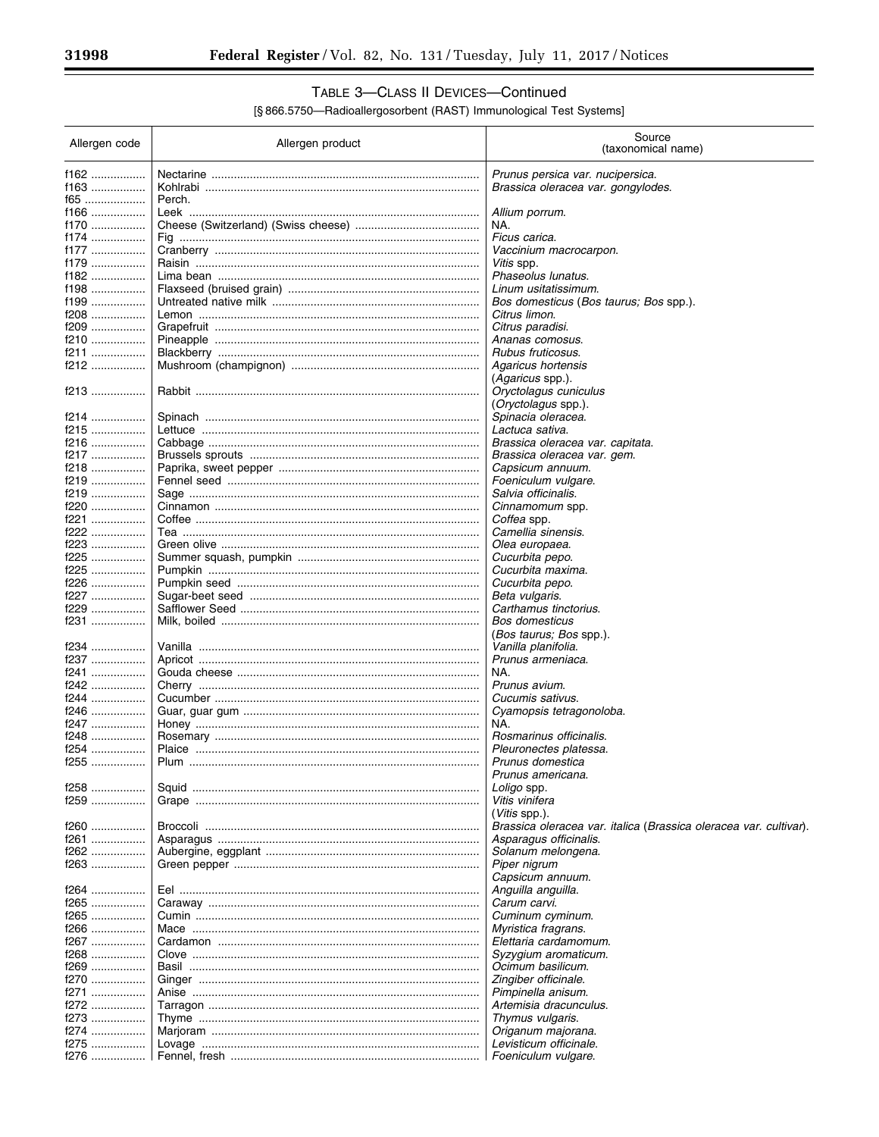-

# TABLE 3-CLASS II DEVICES-Continued

| Allergen code | Allergen product                             | Source<br>(taxonomical name)                                      |
|---------------|----------------------------------------------|-------------------------------------------------------------------|
| f162          |                                              |                                                                   |
|               |                                              | Prunus persica var. nucipersica.                                  |
| f163          |                                              | Brassica oleracea var. gongylodes.                                |
| f65           | Perch.                                       |                                                                   |
| f166          |                                              | Allium porrum.                                                    |
| f170<br>f174  |                                              | NA.<br>Ficus carica.                                              |
| f177          |                                              |                                                                   |
|               |                                              | Vaccinium macrocarpon.                                            |
| f179<br>f182  |                                              | Vitis spp.                                                        |
| $f198$        |                                              | Phaseolus lunatus.                                                |
|               |                                              | Linum usitatissimum.                                              |
| f199          |                                              | <i>Bos domesticus (Bos taurus; Bos spp.).</i>                     |
| f208          |                                              | Citrus limon.                                                     |
| f209          |                                              | Citrus paradisi.                                                  |
| f210          |                                              | Ananas comosus.                                                   |
| f211          |                                              | Rubus fruticosus.                                                 |
| f212          |                                              | Agaricus hortensis                                                |
|               |                                              | ( <i>Agaricus</i> spp.).                                          |
| f213          |                                              | Oryctolagus cuniculus                                             |
|               |                                              | ( <i>Oryctolagus</i> spp.).                                       |
| f214          |                                              | Spinacia oleracea.                                                |
| f215          |                                              | Lactuca sativa.                                                   |
| f216          |                                              | Brassica oleracea var. capitata.                                  |
| f217          |                                              | Brassica oleracea var. gem.                                       |
| f218          |                                              | Capsicum annuum.                                                  |
| f219          |                                              | Foeniculum vulgare.                                               |
| f219          |                                              | Salvia officinalis.                                               |
| $f220$        |                                              | Cinnamomum spp.                                                   |
| f221          |                                              | Coffea spp.                                                       |
| $f222$        |                                              | Camellia sinensis.                                                |
| f223          |                                              | Olea europaea.                                                    |
| f225          |                                              | Cucurbita pepo.                                                   |
| f225          |                                              | Cucurbita maxima.                                                 |
| f226          |                                              | Cucurbita pepo.                                                   |
| f227          |                                              | Beta vulgaris.                                                    |
| f229          |                                              | Carthamus tinctorius.                                             |
| f231          |                                              | <b>Bos domesticus</b>                                             |
|               |                                              | <i>(Bos taurus; Bos spp.).</i>                                    |
| f234          | <u>Vanilla ……………………………………………………………………………</u> | Vanilla planifolia.                                               |
| f237          |                                              | Prunus armeniaca.                                                 |
| f241          |                                              | NA.                                                               |
| f242          |                                              | Prunus avium.                                                     |
| f244          |                                              | Cucumis sativus.                                                  |
| $f246$        |                                              | Cyamopsis tetragonoloba.                                          |
| f247          |                                              | NA.                                                               |
| f248          |                                              | Rosmarinus officinalis.                                           |
| f254          |                                              | Pleuronectes platessa.                                            |
| f255          |                                              | Prunus domestica                                                  |
|               |                                              | Prunus americana.                                                 |
| f258          |                                              | Loligo spp.                                                       |
| f259          |                                              | Vitis vinifera                                                    |
|               |                                              | ( <i>Vitis</i> spp.).                                             |
| f260          |                                              | Brassica oleracea var. italica (Brassica oleracea var. cultivar). |
| f261          |                                              | Asparagus officinalis.                                            |
| f262          |                                              | Solanum melongena.                                                |
| f263          |                                              | Piper nigrum                                                      |
|               |                                              | Capsicum annuum.                                                  |
| f264          |                                              | Anguilla anguilla.                                                |
| f265          |                                              | Carum carvi.                                                      |
| f265          |                                              | Cuminum cyminum.                                                  |
| f266          |                                              | Myristica fragrans.                                               |
| f267          |                                              | Elettaria cardamomum.                                             |
| $f268$        |                                              | Syzygium aromaticum.                                              |
| f269          |                                              | Ocimum basilicum.                                                 |
| f270          |                                              | Zingiber officinale.                                              |
| f271          |                                              | Pimpinella anisum.                                                |
| f272          |                                              | Artemisia dracunculus.                                            |
| f273          |                                              | Thymus vulgaris.                                                  |
| f274          |                                              | Origanum majorana.                                                |
| f275          |                                              | Levisticum officinale.                                            |
| f276          |                                              | Foeniculum vulgare.                                               |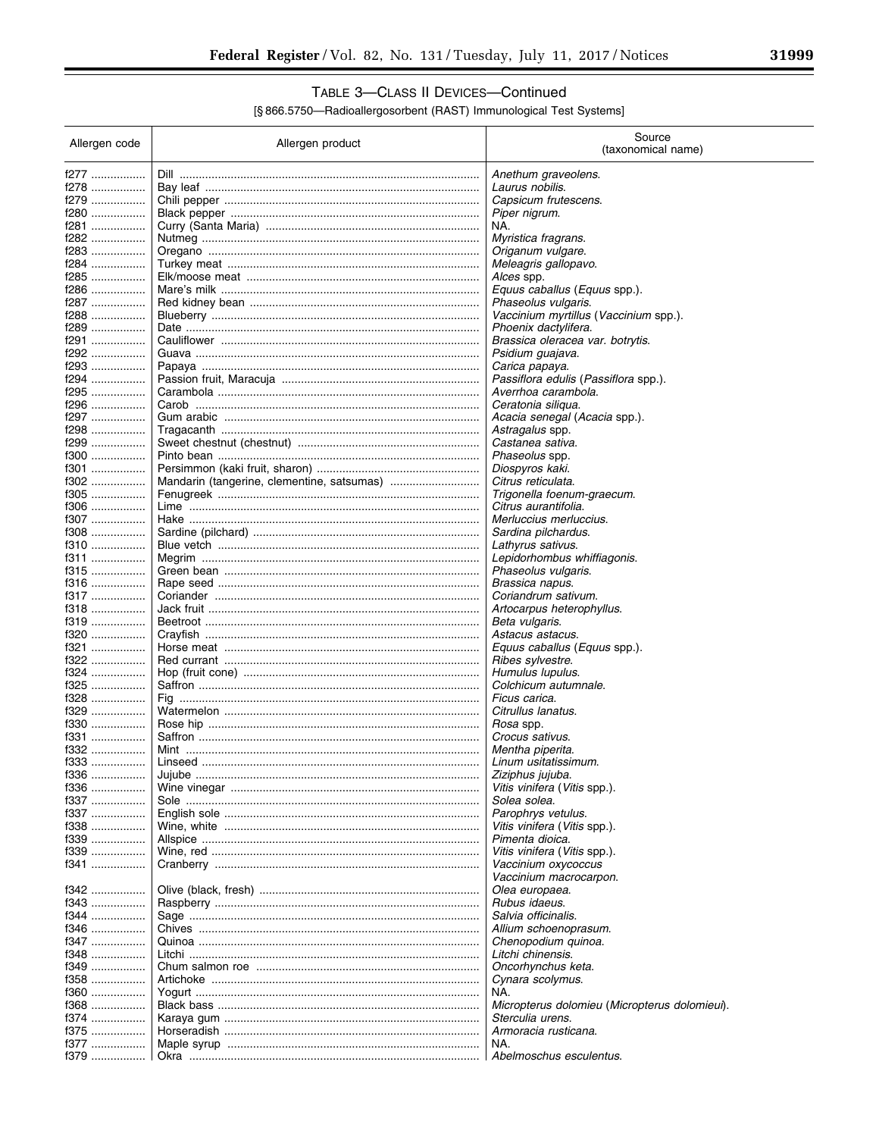# TABLE 3-CLASS II DEVICES-Continued

| Allergen code       | Allergen product                       | Source<br>(taxonomical name)                                  |
|---------------------|----------------------------------------|---------------------------------------------------------------|
| f277                | Dill ……………………………………………………………………………………… | Anethum graveolens.                                           |
| f278                |                                        | Laurus nobilis.                                               |
| f279                |                                        | Capsicum frutescens.                                          |
| f280                |                                        | Piper nigrum.                                                 |
| f281                |                                        | NA.                                                           |
| f282                |                                        | Myristica fragrans.                                           |
| f283                |                                        | Origanum vulgare.                                             |
| f284                |                                        | Meleagris gallopavo.                                          |
| f285                |                                        | Alces spp.                                                    |
| f286                |                                        | Equus caballus (Equus spp.).                                  |
| f287<br>f288        |                                        | Phaseolus vulgaris.                                           |
| f289                |                                        | Vaccinium myrtillus (Vaccinium spp.).<br>Phoenix dactylifera. |
| f291                |                                        | Brassica oleracea var. botrytis.                              |
| f292                |                                        | Psidium guajava.                                              |
| f293                |                                        | Carica papaya.                                                |
| f294 ………………         |                                        | Passiflora edulis (Passiflora spp.).                          |
| f295                |                                        | Averrhoa carambola.                                           |
| f296                |                                        | Ceratonia siliqua.                                            |
| f297                |                                        | Acacia senegal (Acacia spp.).                                 |
| f298 ………………         |                                        | Astragalus spp.                                               |
| f299                |                                        | Castanea sativa.                                              |
| f300                |                                        | Phaseolus spp.                                                |
| f301                |                                        | Diospyros kaki.                                               |
| f302                |                                        | Citrus reticulata.                                            |
| f305<br>f306        |                                        | Trigonella foenum-graecum.<br>Citrus aurantifolia.            |
| f307                |                                        | Merluccius merluccius.                                        |
| f308                |                                        | Sardina pilchardus.                                           |
| f310                |                                        | Lathyrus sativus.                                             |
| f311                |                                        | Lepidorhombus whiffiagonis.                                   |
| f315                |                                        | Phaseolus vulgaris.                                           |
| f316                |                                        | Brassica napus.                                               |
| f317                |                                        | Coriandrum sativum.                                           |
| f318                |                                        | Artocarpus heterophyllus.                                     |
| f319                |                                        | Beta vulgaris.                                                |
| f320                |                                        | Astacus astacus.                                              |
| f321                |                                        | Equus caballus (Equus spp.).                                  |
| f322                |                                        | Ribes sylvestre.                                              |
| f324 ………………<br>f325 |                                        | Humulus lupulus.<br>Colchicum autumnale.                      |
|                     | Fig ………………………………………………………………………………………  | Ficus carica.                                                 |
| f329                |                                        | Citrullus lanatus.                                            |
| f330                |                                        | Rosa spp.                                                     |
| f331                |                                        | Crocus sativus.                                               |
| f332                |                                        | Mentha piperita.                                              |
| f333                |                                        | Linum usitatissimum.                                          |
| f336                |                                        | Ziziphus jujuba.                                              |
| f336                |                                        | Vitis vinifera (Vitis spp.).                                  |
| f337                |                                        | Solea solea.                                                  |
| f337                |                                        | Parophrys vetulus.                                            |
| f338                |                                        | Vitis vinifera (Vitis spp.).                                  |
| f339                |                                        | Pimenta dioica.                                               |
| f339                |                                        | Vitis vinifera (Vitis spp.).                                  |
| f341                |                                        | Vaccinium oxycoccus<br>Vaccinium macrocarpon.                 |
| f342                |                                        | Olea europaea.                                                |
| f343                |                                        | Rubus idaeus.                                                 |
| f344 ………………         |                                        | Salvia officinalis.                                           |
| f346                |                                        | Allium schoenoprasum.                                         |
| f347                |                                        | Chenopodium quinoa.                                           |
| f348                |                                        | Litchi chinensis.                                             |
| f349                |                                        | Oncorhynchus keta.                                            |
| f358                |                                        | Cynara scolymus.                                              |
| f360                |                                        | NA.                                                           |
| f368                |                                        | Micropterus dolomieu (Micropterus dolomieui).                 |
| f374                |                                        | Sterculia urens.                                              |
| f375                |                                        | Armoracia rusticana.                                          |
| f377                |                                        | NA.                                                           |
| f379                |                                        | Abelmoschus esculentus.                                       |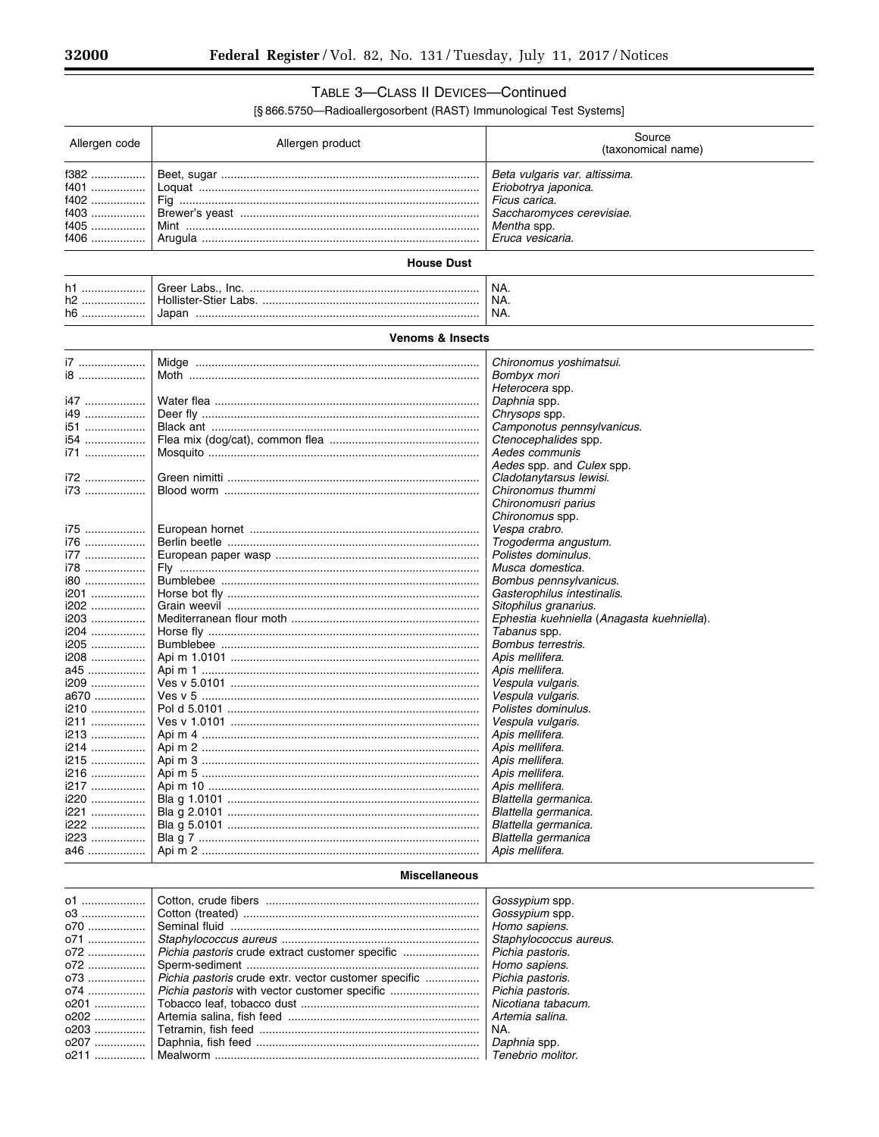## TABLE 3-CLASS II DEVICES-Continued

| Allergen code        | Allergen product                                     | Source<br>(taxonomical name)               |
|----------------------|------------------------------------------------------|--------------------------------------------|
| $f382$               |                                                      | Beta vulgaris var. altissima.              |
| f401                 |                                                      | Eriobotrya japonica.                       |
| f402                 | Fig …………………………………………………………………………………                  | Ficus carica.                              |
| $f403$               |                                                      | Saccharomyces cerevisiae.                  |
| $f405$               |                                                      | Mentha spp.                                |
| f406                 |                                                      | Eruca vesicaria.                           |
|                      |                                                      |                                            |
|                      | <b>House Dust</b>                                    |                                            |
| h1                   |                                                      | NA.                                        |
| h2                   |                                                      | NA.                                        |
| h6                   |                                                      | NA.                                        |
|                      | <b>Venoms &amp; Insects</b>                          |                                            |
| i7                   |                                                      | Chironomus yoshimatsui.                    |
| i8                   |                                                      | Bombyx mori                                |
|                      |                                                      | Heterocera spp.                            |
| i47                  |                                                      | Daphnia spp.                               |
| i49                  |                                                      | Chrysops spp.                              |
| i51                  |                                                      | Camponotus pennsylvanicus.                 |
| i54                  |                                                      | Ctenocephalides spp.                       |
| i71                  |                                                      | Aedes communis                             |
|                      |                                                      | Aedes spp. and Culex spp.                  |
| i72                  |                                                      | Cladotanytarsus lewisi.                    |
| i73                  |                                                      | Chironomus thummi                          |
|                      |                                                      | Chironomusri parius                        |
|                      |                                                      | Chironomus spp.                            |
| i75                  |                                                      | Vespa crabro.                              |
| i76                  |                                                      | Trogoderma angustum.                       |
| i77                  |                                                      | Polistes dominulus.                        |
| i78                  |                                                      | Musca domestica.                           |
| i80                  |                                                      | Bombus pennsylvanicus.                     |
| i201                 |                                                      | Gasterophilus intestinalis.                |
| i202                 |                                                      | Sitophilus granarius.                      |
| i203                 |                                                      | Ephestia kuehniella (Anagasta kuehniella). |
| i204                 |                                                      | Tabanus spp.                               |
| i205                 |                                                      | Bombus terrestris.                         |
| i208                 |                                                      | Apis mellifera.                            |
| a45                  |                                                      | Apis mellifera.                            |
| i209                 |                                                      | Vespula vulgaris.                          |
| a670                 |                                                      | Vespula vulgaris.                          |
| i210                 |                                                      | Polistes dominulus.                        |
| i211                 |                                                      | Vespula vulgaris.                          |
| i213                 |                                                      | Apis mellifera.                            |
| i214                 |                                                      | Apis mellifera.                            |
| i215                 |                                                      | Apis mellifera.                            |
| i216                 |                                                      | Apis mellitera.                            |
| i217                 |                                                      | Apis mellifera.                            |
| i220                 |                                                      | Blattella germanica.                       |
| i221                 |                                                      | Blattella germanica.                       |
| i222                 |                                                      | Blattella germanica.                       |
| i223                 |                                                      | Blattella germanica                        |
| a46                  |                                                      | Apis mellifera.                            |
| <b>Miscellaneous</b> |                                                      |                                            |
| 01                   |                                                      | Gossypium spp.                             |
| 03                   |                                                      | Gossypium spp.                             |
| 070                  |                                                      | Homo sapiens.                              |
| 071                  |                                                      | Staphylococcus aureus.                     |
| 072                  | Pichia pastoris crude extract customer specific      | Pichia pastoris.                           |
| 072                  |                                                      | Homo sapiens.                              |
| 073                  | Pichia pastoris crude extr. vector customer specific | Pichia pastoris.                           |
| 074                  |                                                      | Pichia pastoris.                           |
| 0201                 |                                                      | Nicotiana tabacum.                         |
| 0202                 |                                                      | Artemia salina.                            |
| 0203                 |                                                      | NA.                                        |
| 0207                 |                                                      | Daphnia spp.                               |
| 0211                 |                                                      | Tenebrio molitor.                          |
|                      |                                                      |                                            |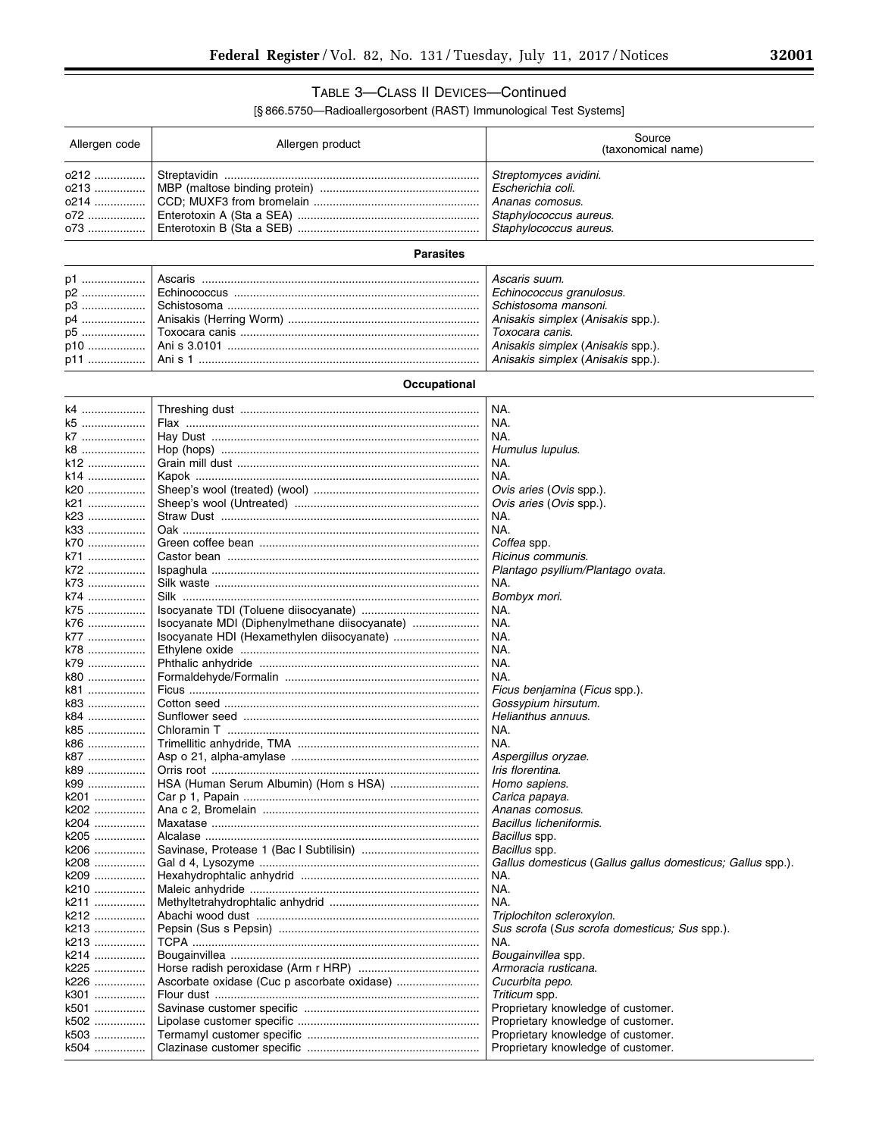# TABLE 3—CLASS II DEVICES—Continued

| Allergen code | Allergen product                              | Source<br>(taxonomical name)                               |
|---------------|-----------------------------------------------|------------------------------------------------------------|
| 0212          |                                               | Streptomyces avidini.                                      |
| 0213          |                                               | Escherichia coli.                                          |
| 0214          |                                               | Ananas comosus.                                            |
| 072           |                                               | Staphylococcus aureus.                                     |
| 073           |                                               | Staphylococcus aureus.                                     |
|               | <b>Parasites</b>                              |                                                            |
|               |                                               |                                                            |
| p1            |                                               | Ascaris suum.                                              |
| p2<br>p3      |                                               | Echinococcus granulosus.<br>Schistosoma mansoni.           |
| p4            |                                               | Anisakis simplex (Anisakis spp.).                          |
| p5            |                                               | Toxocara canis.                                            |
|               |                                               | Anisakis simplex (Anisakis spp.).                          |
| p11           |                                               | Anisakis simplex (Anisakis spp.).                          |
|               | Occupational                                  |                                                            |
|               |                                               |                                                            |
| k4            |                                               | NA.                                                        |
| k5            |                                               | NA.                                                        |
| k7            |                                               | NA.                                                        |
| k8            |                                               | Humulus lupulus.                                           |
| k12           |                                               | NA.                                                        |
| k14           |                                               | NA.                                                        |
| k20           |                                               | Ovis aries (Ovis spp.).                                    |
| k21           |                                               | Ovis aries (Ovis spp.).                                    |
| k23           |                                               | NA.                                                        |
| k33           |                                               | NA.                                                        |
| k70           |                                               | Coffea spp.                                                |
| k71           |                                               | Ricinus communis.                                          |
| k72           |                                               | Plantago psyllium/Plantago ovata.                          |
| k73           |                                               | NA.                                                        |
| k74           | Silk ……………………………………………………………………………………         | Bombyx mori.                                               |
| k75           |                                               | NA.                                                        |
| k76           | Isocyanate MDI (Diphenylmethane diisocyanate) | NA.                                                        |
| k77           |                                               | NA.                                                        |
| k78           |                                               | NA.                                                        |
| k79           |                                               | NA.                                                        |
| k80           |                                               | NA.                                                        |
| k81           |                                               | Ficus benjamina (Ficus spp.).                              |
| k83           |                                               | Gossypium hirsutum.                                        |
| k84           |                                               | Helianthus annuus.                                         |
| k85           |                                               | NA.                                                        |
| k86           |                                               | NA.                                                        |
| k87           |                                               | Aspergillus oryzae.                                        |
| k89           |                                               | <i>Iris florentina.</i>                                    |
| k99           | HSA (Human Serum Albumin) (Hom s HSA)         | Homo sapiens.                                              |
| k201<br>k202  |                                               | Carica papaya.<br>Ananas comosus.                          |
| k204          |                                               | Bacillus licheniformis.                                    |
| k205 ……………    |                                               | Bacillus spp.                                              |
| k206          |                                               | Bacillus spp.                                              |
| k208          |                                               | Gallus domesticus (Gallus gallus domesticus; Gallus spp.). |
| k209          |                                               | NA.                                                        |
| k210          |                                               | NA.                                                        |
| k211          |                                               | NA.                                                        |
| k212          |                                               | Triplochiton scleroxylon.                                  |
| k213          |                                               | Sus scrofa (Sus scrofa domesticus; Sus spp.).              |
| k213          |                                               | NA.                                                        |
| k214          |                                               | Bougainvillea spp.                                         |
| k225          |                                               | Armoracia rusticana.                                       |
| k226          |                                               | Cucurbita pepo.                                            |
| k301          |                                               | Triticum spp.                                              |
| k501          |                                               | Proprietary knowledge of customer.                         |
| k502          |                                               | Proprietary knowledge of customer.                         |
| k503          |                                               | Proprietary knowledge of customer.                         |
| k504          |                                               | Proprietary knowledge of customer.                         |
|               |                                               |                                                            |